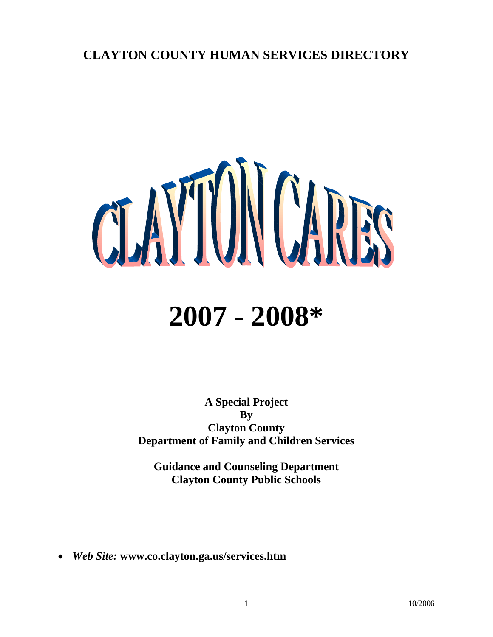## **CLAYTON COUNTY HUMAN SERVICES DIRECTORY**



# **2007 - 2008\***

**A Special Project By Clayton County Department of Family and Children Services** 

**Guidance and Counseling Department Clayton County Public Schools** 

• *Web Site:* **www.co.clayton.ga.us/services.htm**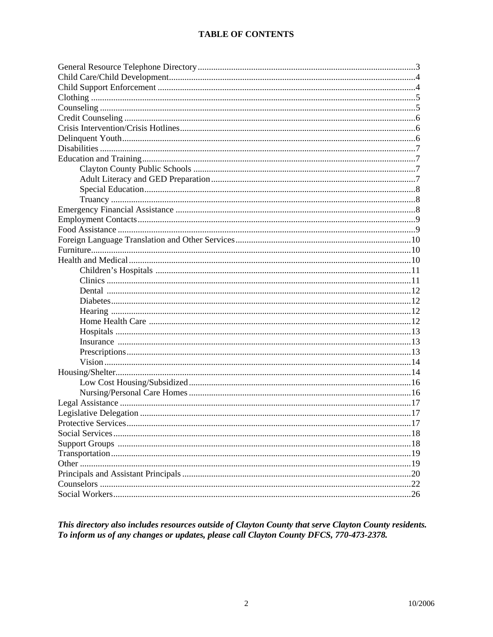This directory also includes resources outside of Clayton County that serve Clayton County residents. To inform us of any changes or updates, please call Clayton County DFCS, 770-473-2378.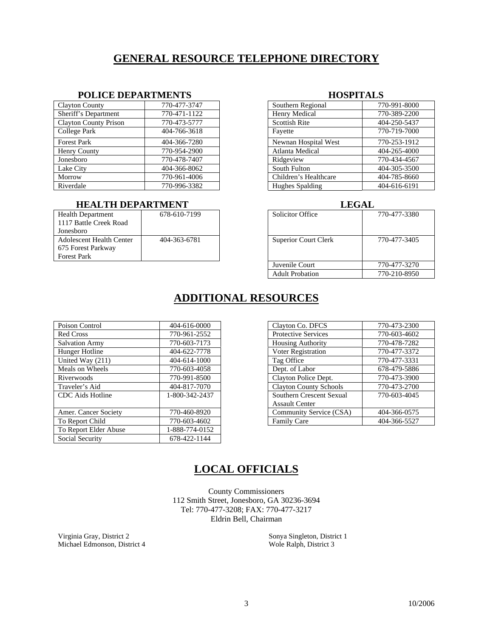## **GENERAL RESOURCE TELEPHONE DIRECTORY**

### **POLICE DEPARTMENTS HOSPITALS**

| <b>Clayton County</b>        | 770-477-3747 | Southern Regional     | 770-991-8000 |
|------------------------------|--------------|-----------------------|--------------|
| Sheriff's Department         | 770-471-1122 | Henry Medical         | 770-389-2200 |
| <b>Clayton County Prison</b> | 770-473-5777 | <b>Scottish Rite</b>  | 404-250-5437 |
| College Park                 | 404-766-3618 | Fayette               | 770-719-7000 |
| <b>Forest Park</b>           | 404-366-7280 | Newnan Hospital West  | 770-253-1912 |
| Henry County                 | 770-954-2900 | Atlanta Medical       | 404-265-4000 |
| Jonesboro                    | 770-478-7407 | Ridgeview             | 770-434-4567 |
| Lake City                    | 404-366-8062 | South Fulton          | 404-305-3500 |
| Morrow                       | 770-961-4006 | Children's Healthcare | 404-785-8660 |
| Riverdale                    | 770-996-3382 | Hughes Spalding       | 404-616-6191 |

### **FIEALTH DEPARTMENT LEGAL LEGAL**

| <b>Health Department</b> | 678-610-7199 |
|--------------------------|--------------|
| 1117 Battle Creek Road   |              |
| Jonesboro                |              |
| Adolescent Health Center | 404-363-6781 |
| 675 Forest Parkway       |              |
| <b>Forest Park</b>       |              |

| Southern Regional      | 770-991-8000 |
|------------------------|--------------|
| Henry Medical          | 770-389-2200 |
| <b>Scottish Rite</b>   | 404-250-5437 |
| Fayette                | 770-719-7000 |
| Newnan Hospital West   | 770-253-1912 |
| Atlanta Medical        | 404-265-4000 |
| Ridgeview              | 770-434-4567 |
| South Fulton           | 404-305-3500 |
| Children's Healthcare  | 404-785-8660 |
| <b>Hughes Spalding</b> | 404-616-6191 |

| Health Department        | 678-610-7199 | <b>Solicitor Office</b>     | 770-477-3380 |  |  |
|--------------------------|--------------|-----------------------------|--------------|--|--|
| 1117 Battle Creek Road   |              |                             |              |  |  |
| Jonesboro                |              |                             |              |  |  |
| Adolescent Health Center | 404-363-6781 | <b>Superior Court Clerk</b> | 770-477-3405 |  |  |
| 675 Forest Parkway       |              |                             |              |  |  |
| <b>Forest Park</b>       |              |                             |              |  |  |
|                          |              | Juvenile Court              | 770-477-3270 |  |  |
|                          |              | <b>Adult Probation</b>      | 770-210-8950 |  |  |
|                          |              |                             |              |  |  |

## **ADDITIONAL RESOURCES**

| 404-616-0000   | Clayton Co. DFCS              | 770-473-2300          |
|----------------|-------------------------------|-----------------------|
| 770-961-2552   | <b>Protective Services</b>    | 770-603-4602          |
| 770-603-7173   | <b>Housing Authority</b>      | 770-478-7282          |
| 404-622-7778   | Voter Registration            | 770-477-3372          |
| 404-614-1000   | Tag Office                    | 770-477-3331          |
| 770-603-4058   | Dept. of Labor                | 678-479-5886          |
| 770-991-8500   | Clayton Police Dept.          | 770-473-3900          |
| 404-817-7070   | <b>Clayton County Schools</b> | 770-473-2700          |
| 1-800-342-2437 | Southern Crescent Sexual      | 770-603-4045          |
|                |                               |                       |
| 770-460-8920   | Community Service (CSA)       | 404-366-0575          |
| 770-603-4602   | Family Care                   | 404-366-5527          |
| 1-888-774-0152 |                               |                       |
| 678-422-1144   |                               |                       |
|                |                               | <b>Assault Center</b> |

| Clayton Co. DFCS              | 770-473-2300 |
|-------------------------------|--------------|
| <b>Protective Services</b>    | 770-603-4602 |
| <b>Housing Authority</b>      | 770-478-7282 |
| Voter Registration            | 770-477-3372 |
| Tag Office                    | 770-477-3331 |
| Dept. of Labor                | 678-479-5886 |
| Clayton Police Dept.          | 770-473-3900 |
| <b>Clayton County Schools</b> | 770-473-2700 |
| Southern Crescent Sexual      | 770-603-4045 |
| <b>Assault Center</b>         |              |
| Community Service (CSA)       | 404-366-0575 |
| <b>Family Care</b>            | 404-366-5527 |

## **LOCAL OFFICIALS**

County Commissioners 112 Smith Street, Jonesboro, GA 30236-3694 Tel: 770-477-3208; FAX: 770-477-3217 Eldrin Bell, Chairman

Virginia Gray, District 2 Michael Edmonson, District 4

 Sonya Singleton, District 1 Wole Ralph, District 3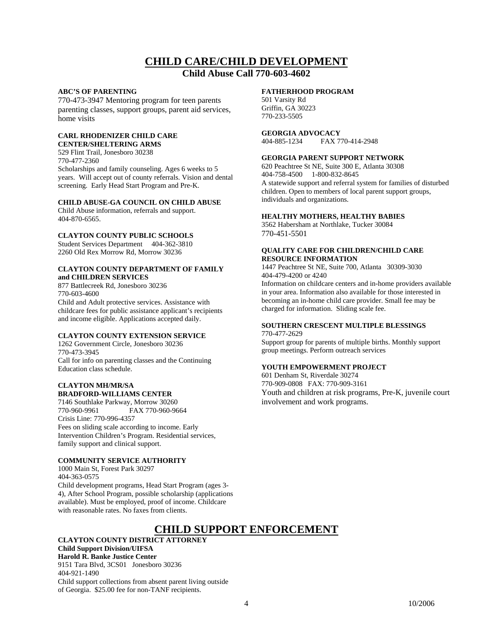## **CHILD CARE/CHILD DEVELOPMENT**

### **Child Abuse Call 770-603-4602**

### **ABC'S OF PARENTING**

770-473-3947 Mentoring program for teen parents parenting classes, support groups, parent aid services, home visits

### **CARL RHODENIZER CHILD CARE CENTER/SHELTERING ARMS**

529 Flint Trail, Jonesboro 30238 770-477-2360 Scholarships and family counseling. Ages 6 weeks to 5 years. Will accept out of county referrals. Vision and dental screening. Early Head Start Program and Pre-K.

### **CHILD ABUSE-GA COUNCIL ON CHILD ABUSE**

Child Abuse information, referrals and support. 404-870-6565.

### **CLAYTON COUNTY PUBLIC SCHOOLS**

Student Services Department 404-362-3810 2260 Old Rex Morrow Rd, Morrow 30236

### **CLAYTON COUNTY DEPARTMENT OF FAMILY and CHILDREN SERVICES**

877 Battlecreek Rd, Jonesboro 30236 770-603-4600

Child and Adult protective services. Assistance with childcare fees for public assistance applicant's recipients and income eligible. Applications accepted daily.

### **CLAYTON COUNTY EXTENSION SERVICE**

1262 Government Circle, Jonesboro 30236 770-473-3945 Call for info on parenting classes and the Continuing Education class schedule.

### **CLAYTON MH/MR/SA BRADFORD-WILLIAMS CENTER**

7146 Southlake Parkway, Morrow 30260 770-960-9961 FAX 770-960-9664 Crisis Line: 770-996-4357 Fees on sliding scale according to income. Early Intervention Children's Program. Residential services, family support and clinical support.

### **COMMUNITY SERVICE AUTHORITY**

1000 Main St, Forest Park 30297 404-363-0575 Child development programs, Head Start Program (ages 3- 4), After School Program, possible scholarship (applications available). Must be employed, proof of income. Childcare with reasonable rates. No faxes from clients.

### **FATHERHOOD PROGRAM**

501 Varsity Rd Griffin, GA 30223 770-233-5505

#### **GEORGIA ADVOCACY**<br>404-885-1234 **FAX** 7 FAX 770-414-2948

### **GEORGIA PARENT SUPPORT NETWORK**

620 Peachtree St NE, Suite 300 E, Atlanta 30308 404-758-4500 1-800-832-8645 A statewide support and referral system for families of disturbed children. Open to members of local parent support groups, individuals and organizations.

### **HEALTHY MOTHERS, HEALTHY BABIES**

3562 Habersham at Northlake, Tucker 30084 770-451-5501

### **QUALITY CARE FOR CHILDREN/CHILD CARE RESOURCE INFORMATION**

1447 Peachtree St NE, Suite 700, Atlanta 30309-3030 404-479-4200 or 4240

Information on childcare centers and in-home providers available in your area. Information also available for those interested in becoming an in-home child care provider. Small fee may be charged for information. Sliding scale fee.

### **SOUTHERN CRESCENT MULTIPLE BLESSINGS**  770-477-2629

Support group for parents of multiple births. Monthly support group meetings. Perform outreach services

### **YOUTH EMPOWERMENT PROJECT**

601 Denham St, Riverdale 30274 770-909-0808 FAX: 770-909-3161 Youth and children at risk programs, Pre-K, juvenile court involvement and work programs.

## **CHILD SUPPORT ENFORCEMENT**

### **CLAYTON COUNTY DISTRICT ATTORNEY Child Support Division/UIFSA Harold R. Banke Justice Center** 9151 Tara Blvd, 3CS01 Jonesboro 30236 404-921-1490 Child support collections from absent parent living outside

of Georgia. \$25.00 fee for non-TANF recipients.

4 10/2006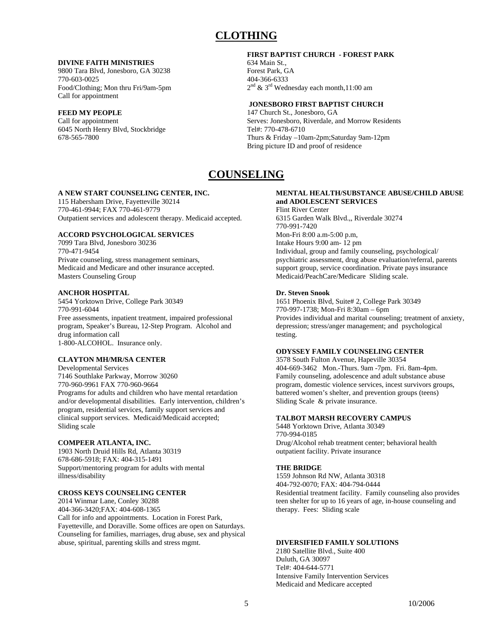## **CLOTHING**

### **DIVINE FAITH MINISTRIES**

9800 Tara Blvd, Jonesboro, GA 30238 770-603-0025 Food/Clothing; Mon thru Fri/9am-5pm Call for appointment

### **FEED MY PEOPLE**

Call for appointment 6045 North Henry Blvd, Stockbridge 678-565-7800

### **FIRST BAPTIST CHURCH - FOREST PARK**

634 Main St., Forest Park, GA 404-366-6333  $2<sup>nd</sup>$  & 3<sup>rd</sup> Wednesday each month, 11:00 am

### **JONESBORO FIRST BAPTIST CHURCH**

147 Church St., Jonesboro, GA Serves: Jonesboro, Riverdale, and Morrow Residents Tel#: 770-478-6710 Thurs & Friday –10am-2pm;Saturday 9am-12pm Bring picture ID and proof of residence

## **COUNSELING**

### **A NEW START COUNSELING CENTER, INC.**

115 Habersham Drive, Fayetteville 30214 770-461-9944; FAX 770-461-9779 Outpatient services and adolescent therapy. Medicaid accepted.

### **ACCORD PSYCHOLOGICAL SERVICES**

7099 Tara Blvd, Jonesboro 30236 770-471-9454 Private counseling, stress management seminars, Medicaid and Medicare and other insurance accepted. Masters Counseling Group

### **ANCHOR HOSPITAL**

5454 Yorktown Drive, College Park 30349 770-991-6044 Free assessments, inpatient treatment, impaired professional program, Speaker's Bureau, 12-Step Program. Alcohol and drug information call 1-800-ALCOHOL. Insurance only.

### **CLAYTON MH/MR/SA CENTER**

Developmental Services 7146 Southlake Parkway, Morrow 30260 770-960-9961 FAX 770-960-9664 Programs for adults and children who have mental retardation and/or developmental disabilities. Early intervention, children's program, residential services, family support services and clinical support services. Medicaid/Medicaid accepted; Sliding scale

### **COMPEER ATLANTA, INC.**

1903 North Druid Hills Rd, Atlanta 30319 678-686-5918; FAX: 404-315-1491 Support/mentoring program for adults with mental illness/disability

### **CROSS KEYS COUNSELING CENTER**

2014 Winmar Lane, Conley 30288 404-366-3420;FAX: 404-608-1365 Call for info and appointments. Location in Forest Park, Fayetteville, and Doraville. Some offices are open on Saturdays. Counseling for families, marriages, drug abuse, sex and physical abuse, spiritual, parenting skills and stress mgmt.

### **MENTAL HEALTH/SUBSTANCE ABUSE/CHILD ABUSE and ADOLESCENT SERVICES**

Flint River Center 6315 Garden Walk Blvd.,, Riverdale 30274 770-991-7420 Mon-Fri 8:00 a.m-5:00 p.m, Intake Hours 9:00 am- 12 pm Individual, group and family counseling, psychological/ psychiatric assessment, drug abuse evaluation/referral, parents support group, service coordination. Private pays insurance Medicaid/PeachCare/Medicare Sliding scale.

### **Dr. Steven Snook**

1651 Phoenix Blvd, Suite# 2, College Park 30349 770-997-1738; Mon-Fri 8:30am – 6pm Provides individual and marital counseling; treatment of anxiety, depression; stress/anger management; and psychological testing.

### **ODYSSEY FAMILY COUNSELING CENTER**

3578 South Fulton Avenue, Hapeville 30354 404-669-3462 Mon.-Thurs. 9am -7pm. Fri. 8am-4pm. Family counseling, adolescence and adult substance abuse program, domestic violence services, incest survivors groups, battered women's shelter, and prevention groups (teens) Sliding Scale & private insurance.

### **TALBOT MARSH RECOVERY CAMPUS**

5448 Yorktown Drive, Atlanta 30349 770-994-0185 Drug/Alcohol rehab treatment center; behavioral health outpatient facility. Private insurance

### **THE BRIDGE**

1559 Johnson Rd NW, Atlanta 30318 404-792-0070; FAX: 404-794-0444 Residential treatment facility. Family counseling also provides teen shelter for up to 16 years of age, in-house counseling and therapy. Fees: Sliding scale

### **DIVERSIFIED FAMILY SOLUTIONS**

2180 Satellite Blvd., Suite 400 Duluth, GA 30097 Tel#: 404-644-5771 Intensive Family Intervention Services Medicaid and Medicare accepted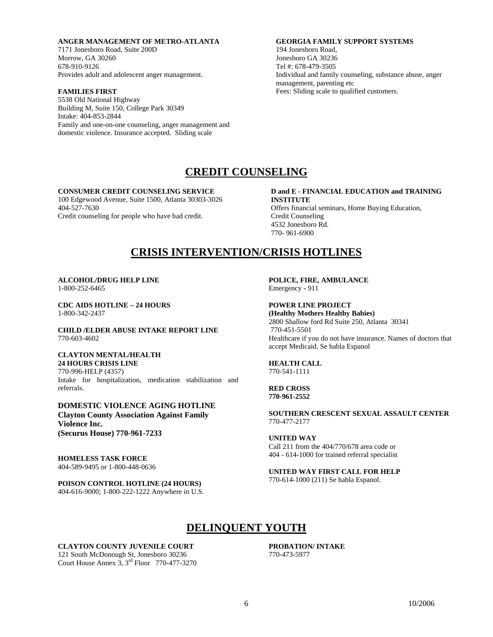### **ANGER MANAGEMENT OF METRO-ATLANTA**

7171 Jonesboro Road, Suite 200D Morrow, GA 30260 678-910-9126 Provides adult and adolescent anger management.

### **FAMILIES FIRST**

5538 Old National Highway Building M, Suite 150, College Park 30349 Intake: 404-853-2844 Family and one-on-one counseling, anger management and domestic violence. Insurance accepted. Sliding scale

### **GEORGIA FAMILY SUPPORT SYSTEMS**

194 Jonesboro Road, Jonesboro GA 30236 Tel #: 678-479-3505 Individual and family counseling, substance abuse, anger management, parenting etc Fees: Sliding scale to qualified customers.

## **CREDIT COUNSELING**

### **CONSUMER CREDIT COUNSELING SERVICE**

100 Edgewood Avenue, Suite 1500, Atlanta 30303-3026 404-527-7630 Credit counseling for people who have bad credit.

### **D and E - FINANCIAL EDUCATION and TRAINING INSTITUTE**

Offers financial seminars, Home Buying Education, Credit Counseling 4532 Jonesboro Rd. 770- 961-6900

## **CRISIS INTERVENTION/CRISIS HOTLINES**

### **ALCOHOL/DRUG HELP LINE**  1-800-252-6465

**CDC AIDS HOTLINE – 24 HOURS**  1-800-342-2437

**CHILD /ELDER ABUSE INTAKE REPORT LINE**  770-603-4602

### **CLAYTON MENTAL/HEALTH 24 HOURS CRISIS LINE**  770-996-HELP (4357)

Intake for hospitalization, medication stabilization and referrals.

### **DOMESTIC VIOLENCE AGING HOTLINE Clayton County Association Against Family Violence Inc. (Securus House) 770-961-7233**

**HOMELESS TASK FORCE**  404-589-9495 or 1-800-448-0636

### **POISON CONTROL HOTLINE (24 HOURS)**  404-616-9000; 1-800-222-1222 Anywhere in U.S.

**POLICE, FIRE, AMBULANCE**  Emergency **-** 911

**POWER LINE PROJECT (Healthy Mothers Healthy Babies)** 

2800 Shallow ford Rd Suite 250, Atlanta 30341 770-451-5501 Healthcare if you do not have insurance. Names of doctors that accept Medicaid. Se habla Espanol

**HEALTH CALL**  770-541-1111

**RED CROSS 770-961-2552** 

**SOUTHERN CRESCENT SEXUAL ASSAULT CENTER**  770-477-2177

**UNITED WAY**  Call 211 from the 404/770/678 area code or 404 - 614-1000 for trained referral specialist

**UNITED WAY FIRST CALL FOR HELP**  770-614-1000 (211) Se habla Espanol.

## **DELINQUENT YOUTH**

**CLAYTON COUNTY JUVENILE COURT**  121 South McDonough St, Jonesboro 30236 Court House Annex 3, 3rd Floor 770-477-3270  **PROBATION/ INTAKE**  770-473-5977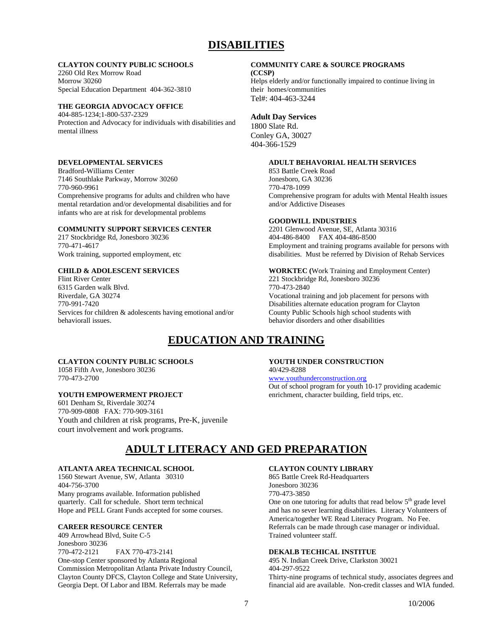## **DISABILITIES**

### **CLAYTON COUNTY PUBLIC SCHOOLS**

2260 Old Rex Morrow Road Morrow 30260 Special Education Department 404-362-3810

### **THE GEORGIA ADVOCACY OFFICE**

404-885-1234;1-800-537-2329 Protection and Advocacy for individuals with disabilities and mental illness

### **DEVELOPMENTAL SERVICES**

Bradford-Williams Center 7146 Southlake Parkway, Morrow 30260 770-960-9961 Comprehensive programs for adults and children who have mental retardation and/or developmental disabilities and for infants who are at risk for developmental problems

### **COMMUNITY SUPPORT SERVICES CENTER**

217 Stockbridge Rd, Jonesboro 30236 770-471-4617 Work training, supported employment, etc

### **CHILD & ADOLESCENT SERVICES**

Flint River Center 6315 Garden walk Blvd. Riverdale, GA 30274 770-991-7420 Services for children & adolescents having emotional and/or behaviorall issues.

## **EDUCATION AND TRAINING**

### **CLAYTON COUNTY PUBLIC SCHOOLS**

1058 Fifth Ave, Jonesboro 30236 770-473-2700

### **YOUTH EMPOWERMENT PROJECT**

601 Denham St, Riverdale 30274 770-909-0808 FAX: 770-909-3161 Youth and children at risk programs, Pre-K, juvenile court involvement and work programs.

## **ADULT LITERACY AND GED PREPARATION**

### **ATLANTA AREA TECHNICAL SCHOOL**

1560 Stewart Avenue, SW, Atlanta 30310 404-756-3700 Many programs available. Information published quarterly. Call for schedule. Short term technical Hope and PELL Grant Funds accepted for some courses.

### **CAREER RESOURCE CENTER**

409 Arrowhead Blvd, Suite C-5 Jonesboro 30236 770-472-2121 FAX 770-473-2141 One-stop Center sponsored by Atlanta Regional Commission Metropolitan Atlanta Private Industry Council, Clayton County DFCS, Clayton College and State University, Georgia Dept. Of Labor and IBM. Referrals may be made

### **COMMUNITY CARE & SOURCE PROGRAMS**

**(CCSP)**  Helps elderly and/or functionally impaired to continue living in their homes/communities Tel#: 404-463-3244

### **Adult Day Services**

1800 Slate Rd. Conley GA, 30027 404-366-1529

### **ADULT BEHAVORIAL HEALTH SERVICES**

853 Battle Creek Road Jonesboro, GA 30236 770-478-1099 Comprehensive program for adults with Mental Health issues and/or Addictive Diseases

### **GOODWILL INDUSTRIES**

2201 Glenwood Avenue, SE, Atlanta 30316 404-486-8400 FAX 404-486-8500 Employment and training programs available for persons with disabilities. Must be referred by Division of Rehab Services

**WORKTEC (**Work Training and Employment Center) 221 Stockbridge Rd, Jonesboro 30236 770-473-2840 Vocational training and job placement for persons with Disabilities alternate education program for Clayton County Public Schools high school students with behavior disorders and other disabilities

### **YOUTH UNDER CONSTRUCTION**  40/429-8288

### www.youthunderconstruction.org

Out of school program for youth 10-17 providing academic enrichment, character building, field trips, etc.

### **CLAYTON COUNTY LIBRARY**

865 Battle Creek Rd-Headquarters Jonesboro 30236 770-473-3850

One on one tutoring for adults that read below  $5<sup>th</sup>$  grade level and has no sever learning disabilities. Literacy Volunteers of America/together WE Read Literacy Program. No Fee. Referrals can be made through case manager or individual. Trained volunteer staff.

### **DEKALB TECHICAL INSTITUE**

495 N. Indian Creek Drive, Clarkston 30021 404-297-9522 Thirty-nine programs of technical study, associates degrees and financial aid are available. Non-credit classes and WIA funded.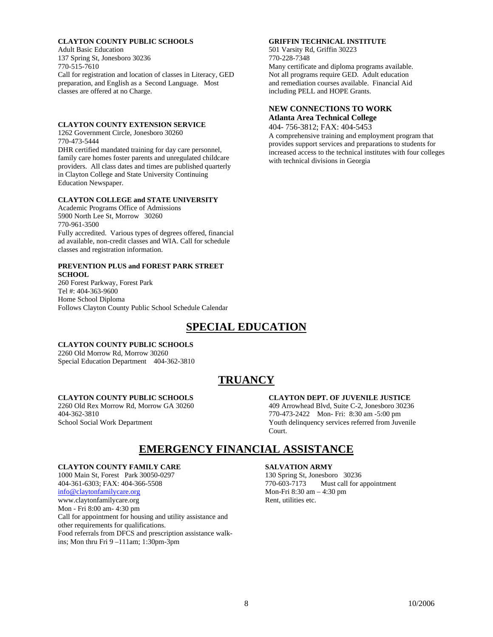### **CLAYTON COUNTY PUBLIC SCHOOLS**

Adult Basic Education 137 Spring St, Jonesboro 30236 770-515-7610 Call for registration and location of classes in Literacy, GED preparation, and English as a Second Language. Most classes are offered at no Charge.

### **CLAYTON COUNTY EXTENSION SERVICE**

1262 Government Circle, Jonesboro 30260 770-473-5444 DHR certified mandated training for day care personnel, family care homes foster parents and unregulated childcare providers. All class dates and times are published quarterly in Clayton College and State University Continuing Education Newspaper.

### **CLAYTON COLLEGE and STATE UNIVERSITY**

Academic Programs Office of Admissions 5900 North Lee St, Morrow 30260 770-961-3500 Fully accredited. Various types of degrees offered, financial ad available, non-credit classes and WIA. Call for schedule classes and registration information.

### **PREVENTION PLUS and FOREST PARK STREET SCHOOL**

260 Forest Parkway, Forest Park Tel #: 404-363-9600 Home School Diploma Follows Clayton County Public School Schedule Calendar

## **SPECIAL EDUCATION**

### **CLAYTON COUNTY PUBLIC SCHOOLS**

2260 Old Morrow Rd, Morrow 30260 Special Education Department 404-362-3810

## **TRUANCY**

### **CLAYTON COUNTY PUBLIC SCHOOLS**

2260 Old Rex Morrow Rd, Morrow GA 30260 404-362-3810 School Social Work Department

### **CLAYTON DEPT. OF JUVENILE JUSTICE**

409 Arrowhead Blvd, Suite C-2, Jonesboro 30236 770-473-2422 Mon- Fri: 8:30 am -5:00 pm Youth delinquency services referred from Juvenile Court.

## **EMERGENCY FINANCIAL ASSISTANCE**

### **CLAYTON COUNTY FAMILY CARE**

1000 Main St, Forest Park 30050-0297 404-361-6303; FAX: 404-366-5508 info@claytonfamilycare.org www.claytonfamilycare.org Mon - Fri 8:00 am- 4:30 pm Call for appointment for housing and utility assistance and other requirements for qualifications. Food referrals from DFCS and prescription assistance walkins; Mon thru Fri 9 –111am; 1:30pm-3pm

### **SALVATION ARMY**

130 Spring St, Jonesboro 30236 770-603-7173 Must call for appointment Mon-Fri 8:30 am – 4:30 pm Rent, utilities etc.

### **GRIFFIN TECHNICAL INSTITUTE**

501 Varsity Rd, Griffin 30223 770-228-7348 Many certificate and diploma programs available. Not all programs require GED. Adult education and remediation courses available. Financial Aid including PELL and HOPE Grants.

### **NEW CONNECTIONS TO WORK Atlanta Area Technical College**

with technical divisions in Georgia

404- 756-3812; FAX: 404-5453 A comprehensive training and employment program that provides support services and preparations to students for increased access to the technical institutes with four colleges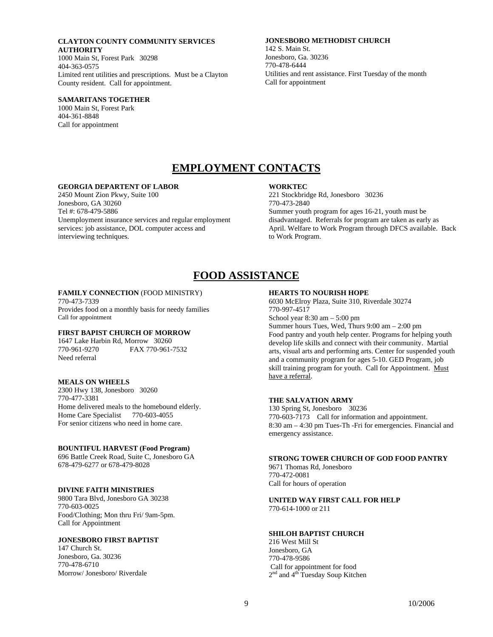**CLAYTON COUNTY COMMUNITY SERVICES AUTHORITY**  1000 Main St, Forest Park 30298 404-363-0575 Limited rent utilities and prescriptions. Must be a Clayton County resident. Call for appointment.

### **SAMARITANS TOGETHER**

1000 Main St, Forest Park 404-361-8848 Call for appointment

### **JONESBORO METHODIST CHURCH**

142 S. Main St. Jonesboro, Ga. 30236 770-478-6444 Utilities and rent assistance. First Tuesday of the month Call for appointment

## **EMPLOYMENT CONTACTS**

### **GEORGIA DEPARTENT OF LABOR**

2450 Mount Zion Pkwy, Suite 100 Jonesboro, GA 30260 Tel #: 678-479-5886 Unemployment insurance services and regular employment services: job assistance, DOL computer access and interviewing techniques.

### **WORKTEC**

221 Stockbridge Rd, Jonesboro 30236 770-473-2840 Summer youth program for ages 16-21, youth must be disadvantaged. Referrals for program are taken as early as April. Welfare to Work Program through DFCS available. Back to Work Program.

## **FOOD ASSISTANCE**

### **FAMILY CONNECTION** (FOOD MINISTRY)

770-473-7339 Provides food on a monthly basis for needy families Call for appointment

### **FIRST BAPIST CHURCH OF MORROW**

1647 Lake Harbin Rd, Morrow 30260<br>770-961-9270 FAX 770-961-FAX 770-961-7532 Need referral

### **MEALS ON WHEELS**

2300 Hwy 138, Jonesboro 30260 770-477-3381 Home delivered meals to the homebound elderly. Home Care Specialist 770-603-4055 For senior citizens who need in home care.

### **BOUNTIFUL HARVEST (Food Program)**

696 Battle Creek Road, Suite C, Jonesboro GA 678-479-6277 or 678-479-8028

### **DIVINE FAITH MINISTRIES**

9800 Tara Blvd, Jonesboro GA 30238 770-603-0025 Food/Clothing; Mon thru Fri/ 9am-5pm. Call for Appointment

### **JONESBORO FIRST BAPTIST**

147 Church St. Jonesboro, Ga. 30236 770-478-6710 Morrow/ Jonesboro/ Riverdale

### **HEARTS TO NOURISH HOPE**

6030 McElroy Plaza, Suite 310, Riverdale 30274 770-997-4517 School year 8:30 am – 5:00 pm Summer hours Tues, Wed, Thurs 9:00 am – 2:00 pm

Food pantry and youth help center. Programs for helping youth develop life skills and connect with their community. Martial arts, visual arts and performing arts. Center for suspended youth and a community program for ages 5-10. GED Program, job skill training program for youth. Call for Appointment. Must have a referral.

### **THE SALVATION ARMY**

130 Spring St, Jonesboro 30236 770-603-7173 Call for information and appointment. 8:30 am – 4:30 pm Tues-Th -Fri for emergencies. Financial and emergency assistance.

### **STRONG TOWER CHURCH OF GOD FOOD PANTRY**

9671 Thomas Rd, Jonesboro 770-472-0081 Call for hours of operation

### **UNITED WAY FIRST CALL FOR HELP**

770-614-1000 or 211

### **SHILOH BAPTIST CHURCH**

216 West Mill St Jonesboro, GA 770-478-9586 Call for appointment for food 2<sup>nd</sup> and 4<sup>th</sup> Tuesday Soup Kitchen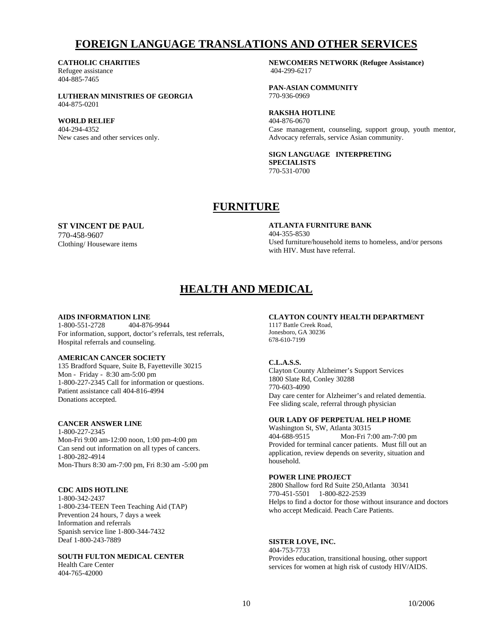## **FOREIGN LANGUAGE TRANSLATIONS AND OTHER SERVICES**

### **CATHOLIC CHARITIES**

Refugee assistance 404-885-7465

**LUTHERAN MINISTRIES OF GEORGIA**  404-875-0201

### **WORLD RELIEF**

404-294-4352 New cases and other services only.  **NEWCOMERS NETWORK (Refugee Assistance)**  404-299-6217

**PAN-ASIAN COMMUNITY**  770-936-0969

### **RAKSHA HOTLINE**

404-876-0670 Case management, counseling, support group, youth mentor, Advocacy referrals, service Asian community.

### **SIGN LANGUAGE INTERPRETING SPECIALISTS**

770-531-0700

## **FURNITURE**

### **ST VINCENT DE PAUL**

770-458-9607 Clothing/ Houseware items  **ATLANTA FURNITURE BANK**  404-355-8530 Used furniture/household items to homeless, and/or persons with HIV. Must have referral.

## **HEALTH AND MEDICAL**

## **AIDS INFORMATION LINE**<br>1-800-551-2728<br>404-876-9944

1-800-551-2728 For information, support, doctor's referrals, test referrals, Hospital referrals and counseling.

### **AMERICAN CANCER SOCIETY**

135 Bradford Square, Suite B, Fayetteville 30215 Mon - Friday - 8:30 am-5:00 pm 1-800-227-2345 Call for information or questions. Patient assistance call 404-816-4994 Donations accepted.

### **CANCER ANSWER LINE**

1-800-227-2345 Mon-Fri 9:00 am-12:00 noon, 1:00 pm-4:00 pm Can send out information on all types of cancers. 1-800-282-4914 Mon-Thurs 8:30 am-7:00 pm, Fri 8:30 am -5:00 pm

### **CDC AIDS HOTLINE**

1-800-342-2437 1-800-234-TEEN Teen Teaching Aid (TAP) Prevention 24 hours, 7 days a week Information and referrals Spanish service line 1-800-344-7432 Deaf 1-800-243-7889

### **SOUTH FULTON MEDICAL CENTER**

Health Care Center 404-765-42000

### **CLAYTON COUNTY HEALTH DEPARTMENT**

1117 Battle Creek Road, Jonesboro, GA 30236 678-610-7199

### **C.L.A.S.S.**

Clayton County Alzheimer's Support Services 1800 Slate Rd, Conley 30288 770-603-4090 Day care center for Alzheimer's and related dementia. Fee sliding scale, referral through physician

### **OUR LADY OF PERPETUAL HELP HOME**

Washington St, SW, Atlanta 30315 404-688-9515 Mon-Fri 7:00 am-7:00 pm Provided for terminal cancer patients. Must fill out an application, review depends on severity, situation and household.

### **POWER LINE PROJECT**

2800 Shallow ford Rd Suite 250,Atlanta 30341 770-451-5501 1-800-822-2539 Helps to find a doctor for those without insurance and doctors who accept Medicaid. Peach Care Patients.

### **SISTER LOVE, INC.**

404-753-7733 Provides education, transitional housing, other support services for women at high risk of custody HIV/AIDS.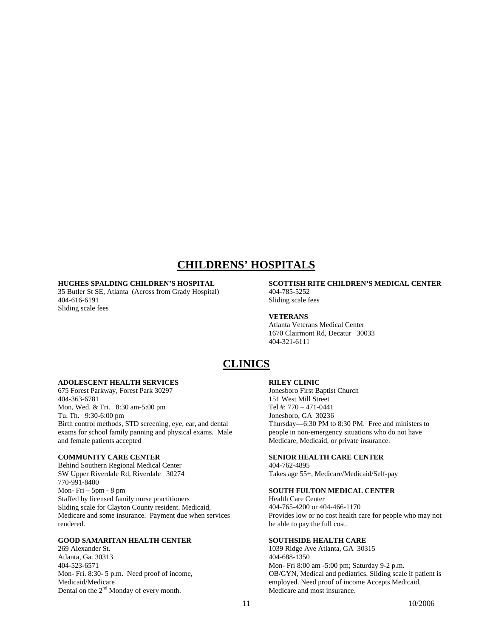## **CHILDRENS' HOSPITALS**

### **HUGHES SPALDING CHILDREN'S HOSPITAL**

35 Butler St SE, Atlanta (Across from Grady Hospital) 404-616-6191 Sliding scale fees

### **SCOTTISH RITE CHILDREN'S MEDICAL CENTER**  404-785-5252

Sliding scale fees

### **VETERANS**

Atlanta Veterans Medical Center 1670 Clairmont Rd, Decatur 30033 404-321-6111

## **CLINICS**

### **ADOLESCENT HEALTH SERVICES**

675 Forest Parkway, Forest Park 30297 404-363-6781 Mon, Wed. & Fri. 8:30 am-5:00 pm Tu. Th. 9:30-6:00 pm Birth control methods, STD screening, eye, ear, and dental exams for school family panning and physical exams. Male and female patients accepted

### **COMMUNITY CARE CENTER**

Behind Southern Regional Medical Center SW Upper Riverdale Rd, Riverdale 30274 770-991-8400 Mon- Fri – 5pm - 8 pm Staffed by licensed family nurse practitioners Sliding scale for Clayton County resident. Medicaid, Medicare and some insurance. Payment due when services rendered.

### **GOOD SAMARITAN HEALTH CENTER**

269 Alexander St. Atlanta, Ga. 30313 404-523-6571 Mon- Fri. 8:30- 5 p.m. Need proof of income, Medicaid/Medicare Dental on the  $2<sup>nd</sup>$  Monday of every month.

### **RILEY CLINIC**

Jonesboro First Baptist Church 151 West Mill Street Tel #: 770 – 471-0441 Jonesboro, GA 30236 Thursday—6:30 PM to 8:30 PM. Free and ministers to people in non-emergency situations who do not have Medicare, Medicaid, or private insurance.

### **SENIOR HEALTH CARE CENTER**

404-762-4895 Takes age 55+, Medicare/Medicaid/Self-pay

### **SOUTH FULTON MEDICAL CENTER**

Health Care Center 404-765-4200 or 404-466-1170 Provides low or no cost health care for people who may not be able to pay the full cost.

### **SOUTHSIDE HEALTH CARE**

1039 Ridge Ave Atlanta, GA 30315 404-688-1350 Mon- Fri 8:00 am -5:00 pm; Saturday 9-2 p.m. OB/GYN, Medical and pediatrics. Sliding scale if patient is employed. Need proof of income Accepts Medicaid, Medicare and most insurance.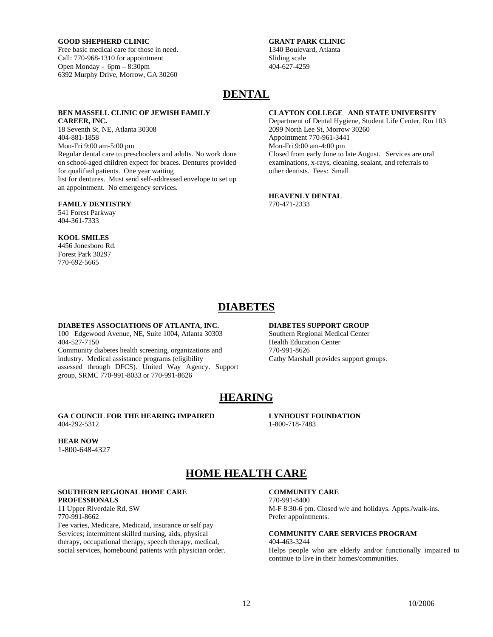### **GOOD SHEPHERD CLINIC**

Free basic medical care for those in need. Call: 770-968-1310 for appointment Open Monday - 6pm – 8:30pm 6392 Murphy Drive, Morrow, GA 30260

### **GRANT PARK CLINIC**  1340 Boulevard, Atlanta Sliding scale 404-627-4259

## **DENTAL**

### **BEN MASSELL CLINIC OF JEWISH FAMILY CAREER, INC.**

18 Seventh St, NE, Atlanta 30308 404-881-1858 Mon-Fri 9:00 am-5:00 pm Regular dental care to preschoolers and adults. No work done on school-aged children expect for braces. Dentures provided for qualified patients. One year waiting list for dentures. Must send self-addressed envelope to set up an appointment. No emergency services.

### **FAMILY DENTISTRY**

541 Forest Parkway 404-361-7333

### **KOOL SMILES**

4456 Jonesboro Rd. Forest Park 30297 770-692-5665

### **CLAYTON COLLEGE AND STATE UNIVERSITY**

Department of Dental Hygiene, Student Life Center, Rm 103 2099 North Lee St, Morrow 30260 Appointment 770-961-3441 Mon-Fri 9:00 am-4:00 pm Closed from early June to late August. Services are oral examinations, x-rays, cleaning, sealant, and referrals to other dentists. Fees: Small

### **HEAVENLY DENTAL**  770-471-2333

## **DIABETES**

#### **DIABETES ASSOCIATIONS OF ATLANTA, INC.**  100 Edgewood Avenue, NE, Suite 1004, Atlanta 30303

404-527-7150

Community diabetes health screening, organizations and industry. Medical assistance programs (eligibility assessed through DFCS). United Way Agency. Support group, SRMC 770-991-8033 or 770-991-8626

### **DIABETES SUPPORT GROUP**

 **LYNHOUST FOUNDATION** 

Southern Regional Medical Center Health Education Center 770-991-8626 Cathy Marshall provides support groups.

## **HEARING**

### **GA COUNCIL FOR THE HEARING IMPAIRED**  404-292-5312

## **HEAR NOW**

1-800-648-4327

## 1-800-718-7483

## **HOME HEALTH CARE**

### **SOUTHERN REGIONAL HOME CARE PROFESSIONALS**

11 Upper Riverdale Rd, SW 770-991-8662 Fee varies, Medicare, Medicaid, insurance or self pay Services; intermittent skilled nursing, aids, physical therapy, occupational therapy, speech therapy, medical, social services, homebound patients with physician order.

### **COMMUNITY CARE**

770-991-8400 M-F 8:30-6 pm. Closed w/e and holidays. Appts./walk-ins. Prefer appointments.

### **COMMUNITY CARE SERVICES PROGRAM**  404-463-3244

Helps people who are elderly and/or functionally impaired to continue to live in their homes/communities.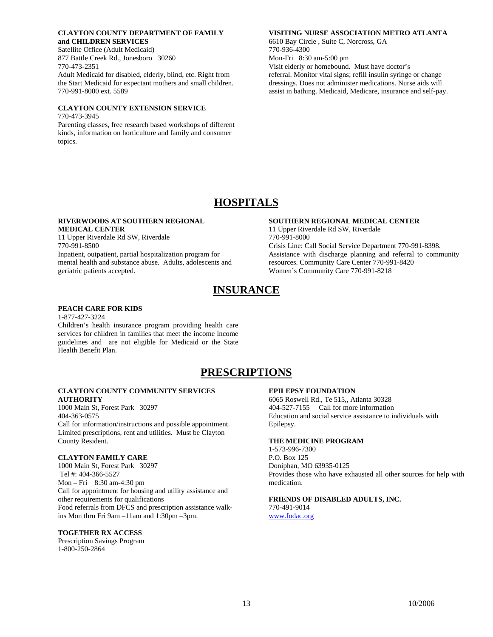### **CLAYTON COUNTY DEPARTMENT OF FAMILY and CHILDREN SERVICES**

Satellite Office (Adult Medicaid) 877 Battle Creek Rd., Jonesboro 30260 770-473-2351 Adult Medicaid for disabled, elderly, blind, etc. Right from

the Start Medicaid for expectant mothers and small children. 770-991-8000 ext. 5589

### **CLAYTON COUNTY EXTENSION SERVICE**

770-473-3945 Parenting classes, free research based workshops of different

kinds, information on horticulture and family and consumer topics.

### **VISITING NURSE ASSOCIATION METRO ATLANTA**

6610 Bay Circle , Suite C, Norcross, GA 770-936-4300 Mon-Fri 8:30 am-5:00 pm Visit elderly or homebound. Must have doctor's

referral. Monitor vital signs; refill insulin syringe or change dressings. Does not administer medications. Nurse aids will assist in bathing. Medicaid, Medicare, insurance and self-pay.

## **HOSPITALS**

### **RIVERWOODS AT SOUTHERN REGIONAL MEDICAL CENTER**

11 Upper Riverdale Rd SW, Riverdale 770-991-8500 Inpatient, outpatient, partial hospitalization program for mental health and substance abuse. Adults, adolescents and geriatric patients accepted.

### **SOUTHERN REGIONAL MEDICAL CENTER**

11 Upper Riverdale Rd SW, Riverdale 770-991-8000 Crisis Line: Call Social Service Department 770-991-8398. Assistance with discharge planning and referral to community resources. Community Care Center 770-991-8420 Women's Community Care 770-991-8218

## **INSURANCE**

### **PEACH CARE FOR KIDS**

1-877-427-3224 Children's health insurance program providing health care services for children in families that meet the income income guidelines and are not eligible for Medicaid or the State Health Benefit Plan.

## **PRESCRIPTIONS**

### **CLAYTON COUNTY COMMUNITY SERVICES AUTHORITY**

1000 Main St, Forest Park 30297 404-363-0575 Call for information/instructions and possible appointment. Limited prescriptions, rent and utilities. Must be Clayton County Resident.

### **CLAYTON FAMILY CARE**

1000 Main St, Forest Park 30297 Tel #: 404-366-5527 Mon – Fri 8:30 am-4:30 pm Call for appointment for housing and utility assistance and other requirements for qualifications Food referrals from DFCS and prescription assistance walkins Mon thru Fri 9am –11am and 1:30pm –3pm.

### **TOGETHER RX ACCESS**

Prescription Savings Program 1-800-250-2864

### **EPILEPSY FOUNDATION**

6065 Roswell Rd., Te 515,, Atlanta 30328 404-527-7155 Call for more information Education and social service assistance to individuals with Epilepsy.

### **THE MEDICINE PROGRAM**

1-573-996-7300 P.O. Box 125 Doniphan, MO 63935-0125 Provides those who have exhausted all other sources for help with medication.

### **FRIENDS OF DISABLED ADULTS, INC.**

770-491-9014 www.fodac.org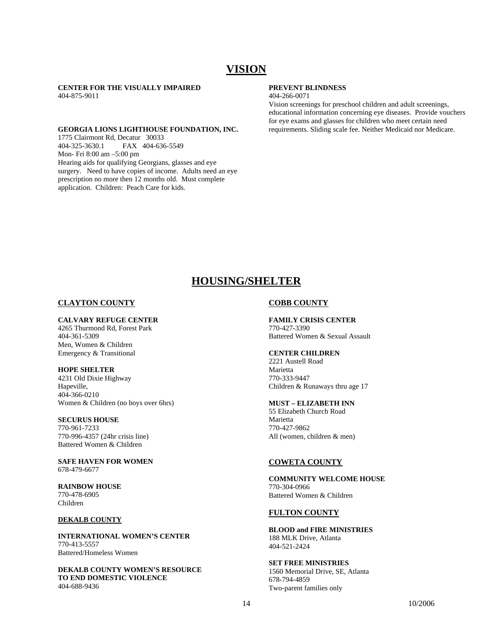## **VISION**

**CENTER FOR THE VISUALLY IMPAIRED**  404-875-9011

### **GEORGIA LIONS LIGHTHOUSE FOUNDATION, INC.**

1775 Clairmont Rd, Decatur 30033<br>404-325-3630.1 FAX 404-636 FAX 404-636-5549 Mon- Fri 8:00 am –5:00 pm Hearing aids for qualifying Georgians, glasses and eye surgery. Need to have copies of income. Adults need an eye prescription no more then 12 months old. Must complete application. Children: Peach Care for kids.

### **PREVENT BLINDNESS**

404-266-0071

Vision screenings for preschool children and adult screenings, educational information concerning eye diseases. Provide vouchers for eye exams and glasses for children who meet certain need requirements. Sliding scale fee. Neither Medicaid nor Medicare.

## **HOUSING/SHELTER**

### **CLAYTON COUNTY**

### **CALVARY REFUGE CENTER**

4265 Thurmond Rd, Forest Park 404-361-5309 Men, Women & Children Emergency & Transitional

### **HOPE SHELTER**

4231 Old Dixie Highway Hapeville, 404-366-0210 Women & Children (no boys over 6hrs)

### **SECURUS HOUSE**

770-961-7233 770-996-4357 (24hr crisis line) Battered Women & Children

### **SAFE HAVEN FOR WOMEN**  678-479-6677

**RAINBOW HOUSE**  770-478-6905 Children

### **DEKALB COUNTY**

**INTERNATIONAL WOMEN'S CENTER**  770-413-5557 Battered/Homeless Women

**DEKALB COUNTY WOMEN'S RESOURCE TO END DOMESTIC VIOLENCE**  404-688-9436

### **COBB COUNTY**

**FAMILY CRISIS CENTER**  770-427-3390 Battered Women & Sexual Assault

### **CENTER CHILDREN**

2221 Austell Road Marietta 770-333-9447 Children & Runaways thru age 17

### **MUST – ELIZABETH INN**

55 Elizabeth Church Road Marietta 770-427-9862 All (women, children & men)

### **COWETA COUNTY**

**COMMUNITY WELCOME HOUSE**  770-304-0966 Battered Women & Children

### **FULTON COUNTY**

**BLOOD and FIRE MINISTRIES**  188 MLK Drive, Atlanta 404-521-2424

**SET FREE MINISTRIES**  1560 Memorial Drive, SE, Atlanta 678-794-4859 Two-parent families only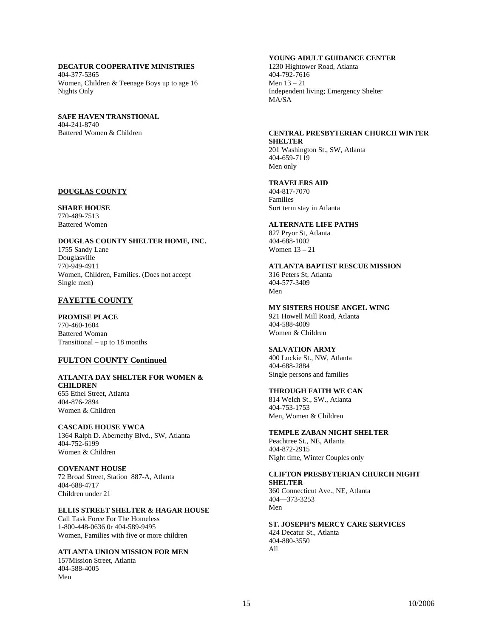### **DECATUR COOPERATIVE MINISTRIES**

404-377-5365 Women, Children & Teenage Boys up to age 16 Nights Only

### **SAFE HAVEN TRANSTIONAL**  404-241-8740

Battered Women & Children

### **DOUGLAS COUNTY**

### **SHARE HOUSE**

770-489-7513 Battered Women

### **DOUGLAS COUNTY SHELTER HOME, INC.**

1755 Sandy Lane Douglasville 770-949-4911 Women, Children, Families. (Does not accept Single men)

### **FAYETTE COUNTY**

**PROMISE PLACE**  770-460-1604 Battered Woman Transitional – up to 18 months

### **FULTON COUNTY Continued**

### **ATLANTA DAY SHELTER FOR WOMEN & CHILDREN**  655 Ethel Street, Atlanta

404-876-2894 Women & Children

### **CASCADE HOUSE YWCA**

1364 Ralph D. Abernethy Blvd., SW, Atlanta 404-752-6199 Women & Children

**COVENANT HOUSE**  72 Broad Street, Station 887-A, Atlanta 404-688-4717 Children under 21

### **ELLIS STREET SHELTER & HAGAR HOUSE**

Call Task Force For The Homeless 1-800-448-0636 0r 404-589-9495 Women, Families with five or more children

### **ATLANTA UNION MISSION FOR MEN**

157Mission Street, Atlanta 404-588-4005 Men

### **YOUNG ADULT GUIDANCE CENTER**

1230 Hightower Road, Atlanta 404-792-7616 Men 13 – 21 Independent living; Emergency Shelter MA/SA

### **CENTRAL PRESBYTERIAN CHURCH WINTER SHELTER**

201 Washington St., SW, Atlanta 404-659-7119 Men only

### **TRAVELERS AID**

404-817-7070 Families Sort term stay in Atlanta

### **ALTERNATE LIFE PATHS**

827 Pryor St, Atlanta 404-688-1002 Women 13 – 21

**ATLANTA BAPTIST RESCUE MISSION**  316 Peters St, Atlanta 404-577-3409 Men

**MY SISTERS HOUSE ANGEL WING** 

921 Howell Mill Road, Atlanta 404-588-4009 Women & Children

### **SALVATION ARMY**

400 Luckie St., NW, Atlanta 404-688-2884 Single persons and families

### **THROUGH FAITH WE CAN**

814 Welch St., SW., Atlanta 404-753-1753 Men, Women & Children

### **TEMPLE ZABAN NIGHT SHELTER**

Peachtree St., NE, Atlanta 404-872-2915 Night time, Winter Couples only

### **CLIFTON PRESBYTERIAN CHURCH NIGHT SHELTER**

360 Connecticut Ave., NE, Atlanta 404—373-3253 Men

### **ST. JOSEPH'S MERCY CARE SERVICES**  424 Decatur St., Atlanta

404-880-3550 All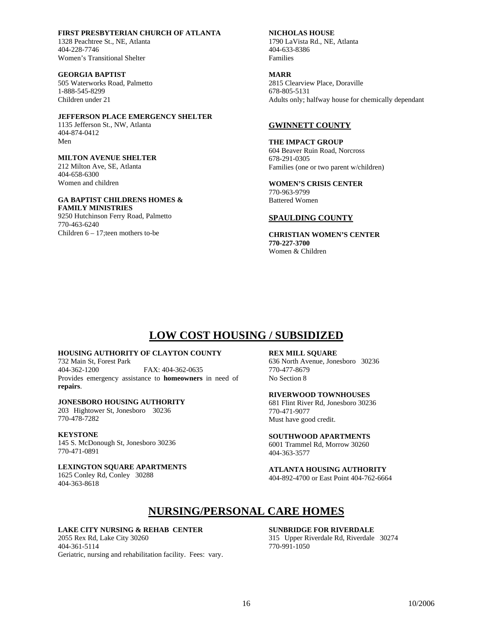**FIRST PRESBYTERIAN CHURCH OF ATLANTA** 

1328 Peachtree St., NE, Atlanta 404-228-7746 Women's Transitional Shelter

**GEORGIA BAPTIST**  505 Waterworks Road, Palmetto 1-888-545-8299 Children under 21

### **JEFFERSON PLACE EMERGENCY SHELTER**

1135 Jefferson St., NW, Atlanta 404-874-0412 Men

### **MILTON AVENUE SHELTER**

212 Milton Ave, SE, Atlanta 404-658-6300 Women and children

## **GA BAPTIST CHILDRENS HOMES &**

**FAMILY MINISTRIES**  9250 Hutchinson Ferry Road, Palmetto 770-463-6240 Children 6 – 17;teen mothers to-be

### **NICHOLAS HOUSE**

1790 LaVista Rd., NE, Atlanta 404-633-8386 Families

### **MARR**

2815 Clearview Place, Doraville 678-805-5131 Adults only; halfway house for chemically dependant

### **GWINNETT COUNTY**

**THE IMPACT GROUP**  604 Beaver Ruin Road, Norcross 678-291-0305 Families (one or two parent w/children)

**WOMEN'S CRISIS CENTER**  770-963-9799 Battered Women

### **SPAULDING COUNTY**

**CHRISTIAN WOMEN'S CENTER 770-227-3700**  Women & Children

## **LOW COST HOUSING / SUBSIDIZED**

### **HOUSING AUTHORITY OF CLAYTON COUNTY**

732 Main St, Forest Park 404-362-1200 FAX: 404-362-0635 Provides emergency assistance to **homeowners** in need of **repairs**.

### **JONESBORO HOUSING AUTHORITY**

203 Hightower St, Jonesboro 30236 770-478-7282

### **KEYSTONE**

145 S. McDonough St, Jonesboro 30236 770-471-0891

### **LEXINGTON SQUARE APARTMENTS**

1625 Conley Rd, Conley 30288 404-363-8618

### **REX MILL SQUARE**

636 North Avenue, Jonesboro 30236 770-477-8679 No Section 8

**RIVERWOOD TOWNHOUSES**  681 Flint River Rd, Jonesboro 30236 770-471-9077

Must have good credit.

**SOUTHWOOD APARTMENTS**  6001 Trammel Rd, Morrow 30260 404-363-3577

**ATLANTA HOUSING AUTHORITY**  404-892-4700 or East Point 404-762-6664

## **NURSING/PERSONAL CARE HOMES**

### **LAKE CITY NURSING & REHAB CENTER**

2055 Rex Rd, Lake City 30260 404-361-5114 Geriatric, nursing and rehabilitation facility. Fees: vary.

### **SUNBRIDGE FOR RIVERDALE**

315 Upper Riverdale Rd, Riverdale 30274 770-991-1050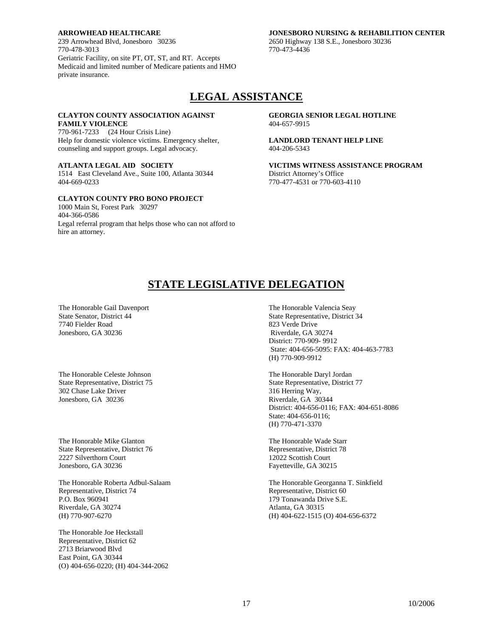### **ARROWHEAD HEALTHCARE**

239 Arrowhead Blvd, Jonesboro 30236 770-478-3013 Geriatric Facility, on site PT, OT, ST, and RT. Accepts Medicaid and limited number of Medicare patients and HMO private insurance.

### **JONESBORO NURSING & REHABILITION CENTER**

2650 Highway 138 S.E., Jonesboro 30236 770-473-4436

## **LEGAL ASSISTANCE**

### **CLAYTON COUNTY ASSOCIATION AGAINST FAMILY VIOLENCE**

770-961-7233 (24 Hour Crisis Line) Help for domestic violence victims. Emergency shelter, counseling and support groups. Legal advocacy.

### **ATLANTA LEGAL AID SOCIETY**

1514 East Cleveland Ave., Suite 100, Atlanta 30344 404-669-0233

### **CLAYTON COUNTY PRO BONO PROJECT**

1000 Main St, Forest Park 30297 404-366-0586 Legal referral program that helps those who can not afford to hire an attorney.

 **GEORGIA SENIOR LEGAL HOTLINE**  404-657-9915

**LANDLORD TENANT HELP LINE** 404-206-5343

**VICTIMS WITNESS ASSISTANCE PROGRAM**  District Attorney's Office 770-477-4531 or 770-603-4110

## **STATE LEGISLATIVE DELEGATION**

The Honorable Gail Davenport State Senator, District 44 7740 Fielder Road Jonesboro, GA 30236

The Honorable Celeste Johnson State Representative, District 75 302 Chase Lake Driver Jonesboro, GA 30236

The Honorable Mike Glanton State Representative, District 76 2227 Silverthorn Court Jonesboro, GA 30236

The Honorable Roberta Adbul-Salaam Representative, District 74 P.O. Box 960941 Riverdale, GA 30274 (H) 770-907-6270

The Honorable Joe Heckstall Representative, District 62 2713 Briarwood Blvd East Point, GA 30344 (O) 404-656-0220; (H) 404-344-2062  The Honorable Valencia Seay State Representative, District 34 823 Verde Drive Riverdale, GA 30274 District: 770-909- 9912 State: 404-656-5095: FAX: 404-463-7783 (H) 770-909-9912

 The Honorable Daryl Jordan State Representative, District 77 316 Herring Way, Riverdale, GA 30344 District: 404-656-0116; FAX: 404-651-8086 State: 404-656-0116; (H) 770-471-3370

 The Honorable Wade Starr Representative, District 78 12022 Scottish Court Fayetteville, GA 30215

The Honorable Georganna T. Sinkfield Representative, District 60 179 Tonawanda Drive S.E. Atlanta, GA 30315 (H) 404-622-1515 (O) 404-656-6372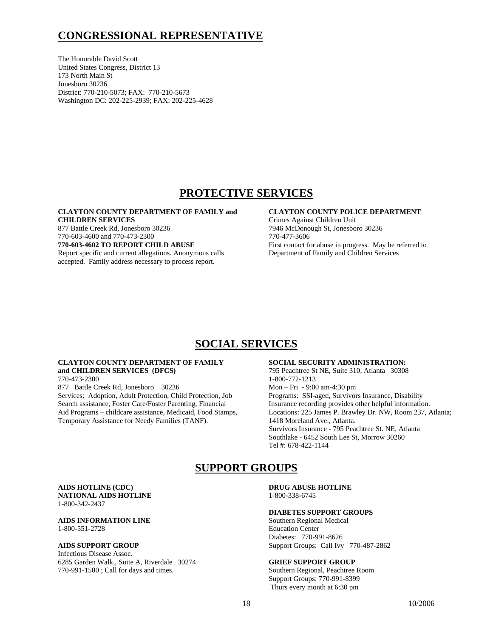## **CONGRESSIONAL REPRESENTATIVE**

The Honorable David Scott United States Congress, District 13 173 North Main St Jonesboro 30236 District: 770-210-5073; FAX: 770-210-5673 Washington DC: 202-225-2939; FAX: 202-225-4628

## **PROTECTIVE SERVICES**

### **CLAYTON COUNTY DEPARTMENT OF FAMILY and CHILDREN SERVICES**

877 Battle Creek Rd, Jonesboro 30236 770-603-4600 and 770-473-2300

**770-603-4602 TO REPORT CHILD ABUSE** 

Report specific and current allegations. Anonymous calls accepted. Family address necessary to process report.

### **CLAYTON COUNTY POLICE DEPARTMENT**

Crimes Against Children Unit 7946 McDonough St, Jonesboro 30236 770-477-3606 First contact for abuse in progress. May be referred to Department of Family and Children Services

## **SOCIAL SERVICES**

### **CLAYTON COUNTY DEPARTMENT OF FAMILY and CHILDREN SERVICES (DFCS)**

770-473-2300

877 Battle Creek Rd, Jonesboro 30236 Services: Adoption, Adult Protection, Child Protection, Job Search assistance, Foster Care/Foster Parenting, Financial Aid Programs – childcare assistance, Medicaid, Food Stamps, Temporary Assistance for Needy Families (TANF).

### **SOCIAL SECURITY ADMINISTRATION:**

795 Peachtree St NE, Suite 310, Atlanta 30308 1-800-772-1213 Mon – Fri - 9:00 am-4:30 pm Programs: SSI-aged, Survivors Insurance, Disability Insurance recording provides other helpful information. Locations: 225 James P. Brawley Dr. NW, Room 237, Atlanta; 1418 Moreland Ave., Atlanta. Survivors Insurance - 795 Peachtree St. NE, Atlanta Southlake - 6452 South Lee St, Morrow 30260 Tel #: 678-422-1144

## **SUPPORT GROUPS**

### **AIDS HOTLINE (CDC) NATIONAL AIDS HOTLINE**  1-800-342-2437

### **AIDS INFORMATION LINE**  1-800-551-2728

### **AIDS SUPPORT GROUP**

Infectious Disease Assoc. 6285 Garden Walk,, Suite A, Riverdale 30274 770-991-1500 ; Call for days and times.

 **DRUG ABUSE HOTLINE**  1-800-338-6745

### **DIABETES SUPPORT GROUPS**

Southern Regional Medical Education Center Diabetes: 770-991-8626 Support Groups: Call Ivy 770-487-2862

### **GRIEF SUPPORT GROUP**

Southern Regional, Peachtree Room Support Groups: 770-991-8399 Thurs every month at 6:30 pm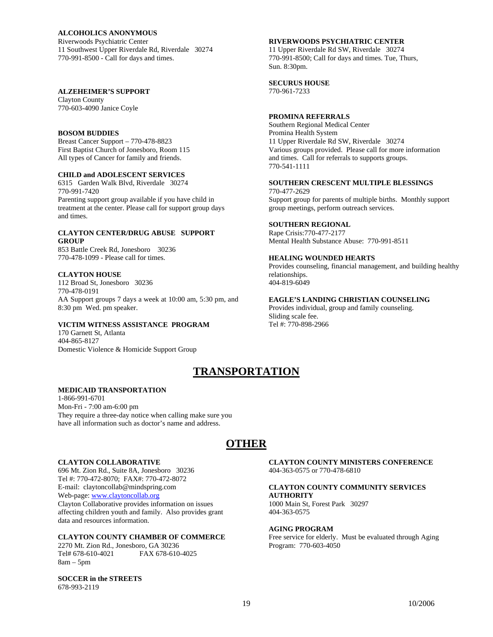### **ALCOHOLICS ANONYMOUS**

Riverwoods Psychiatric Center 11 Southwest Upper Riverdale Rd, Riverdale 30274 770-991-8500 - Call for days and times.

### **ALZEHEIMER'S SUPPORT**

Clayton County 770-603-4090 Janice Coyle

### **BOSOM BUDDIES**

Breast Cancer Support – 770-478-8823 First Baptist Church of Jonesboro, Room 115 All types of Cancer for family and friends.

### **CHILD and ADOLESCENT SERVICES**

6315 Garden Walk Blvd, Riverdale 30274 770-991-7420 Parenting support group available if you have child in treatment at the center. Please call for support group days and times.

### **CLAYTON CENTER/DRUG ABUSE SUPPORT GROUP**

853 Battle Creek Rd, Jonesboro 30236 770-478-1099 - Please call for times.

### **CLAYTON HOUSE**

112 Broad St, Jonesboro 30236 770-478-0191 AA Support groups 7 days a week at 10:00 am, 5:30 pm, and 8:30 pm Wed. pm speaker.

### **VICTIM WITNESS ASSISTANCE PROGRAM**

170 Garnett St, Atlanta 404-865-8127 Domestic Violence & Homicide Support Group

### **RIVERWOODS PSYCHIATRIC CENTER**

11 Upper Riverdale Rd SW, Riverdale 30274 770-991-8500; Call for days and times. Tue, Thurs, Sun. 8:30pm.

### **SECURUS HOUSE**

770-961-7233

### **PROMINA REFERRALS**

Southern Regional Medical Center Promina Health System 11 Upper Riverdale Rd SW, Riverdale 30274 Various groups provided. Please call for more information and times. Call for referrals to supports groups. 770-541-1111

### **SOUTHERN CRESCENT MULTIPLE BLESSINGS**

770-477-2629 Support group for parents of multiple births. Monthly support group meetings, perform outreach services.

### **SOUTHERN REGIONAL**

Rape Crisis:770-477-2177 Mental Health Substance Abuse: 770-991-8511

### **HEALING WOUNDED HEARTS**

Provides counseling, financial management, and building healthy relationships. 404-819-6049

### **EAGLE'S LANDING CHRISTIAN COUNSELING**

Provides individual, group and family counseling. Sliding scale fee. Tel #: 770-898-2966

## **TRANSPORTATION**

### **MEDICAID TRANSPORTATION**

1-866-991-6701 Mon-Fri - 7:00 am-6:00 pm They require a three-day notice when calling make sure you have all information such as doctor's name and address.

## **OTHER**

### **CLAYTON COLLABORATIVE**

696 Mt. Zion Rd., Suite 8A, Jonesboro 30236 Tel #: 770-472-8070; FAX#: 770-472-8072 E-mail: claytoncollab@mindspring.com Web-page: www.claytoncollab.org Clayton Collaborative provides information on issues affecting children youth and family. Also provides grant data and resources information.

### **CLAYTON COUNTY CHAMBER OF COMMERCE**

2270 Mt. Zion Rd., Jonesboro, GA 30236 Tel# 678-610-4021 FAX 678-610-4025 8am – 5pm

**SOCCER in the STREETS**  678-993-2119

 **CLAYTON COUNTY MINISTERS CONFERENCE**  404-363-0575 or 770-478-6810

### **CLAYTON COUNTY COMMUNITY SERVICES AUTHORITY**

1000 Main St, Forest Park 30297 404-363-0575

### **AGING PROGRAM**

Free service for elderly. Must be evaluated through Aging Program: 770-603-4050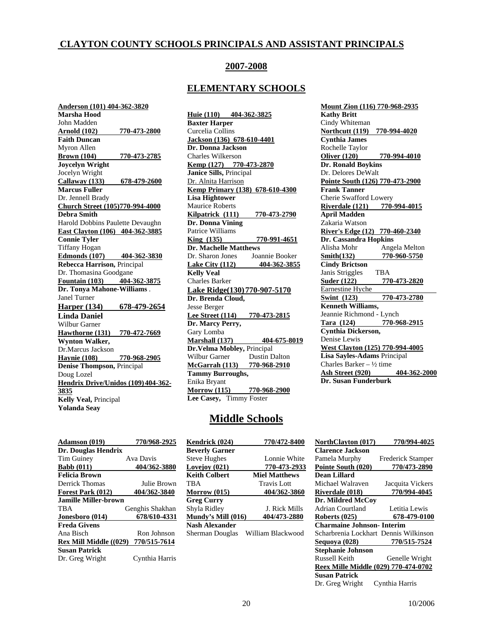### **CLAYTON COUNTY SCHOOLS PRINCIPALS AND ASSISTANT PRINCIPALS**

### **2007-2008**

### **ELEMENTARY SCHOOLS**

**Anderson (101) 404-362-3820 Marsha Hood**  John Madden **Arnold (102) 770-473-2800 Faith Duncan**  Myron Allen **Brown (104) 770-473-2785 Joycelyn Wright** Jocelyn Wright **Callaway (133) 678-479-2600 Marcus Fuller**  Dr. Jennell Brady **Church Street (105)770-994-4000 Debra Smith** Harold Dobbins Paulette Devaughn **East Clayton (106) 404-362-3885 Connie Tyler** Tiffany Hogan **Edmonds (107) 404-362-3830 Rebecca Harrison,** Principal Dr. Thomasina Goodgane **Fountain (103) 404-362-3875 Dr. Tonya Mahone-Williams** . Janel Turner **Harper (134) 678-479-2654 Linda Daniel**  Wilbur Garner **Hawthorne (131) 770-472-7669 Wynton Walker,**  Dr.Marcus Jackson **Haynie (108) 770-968-2905 Denise Thompson,** Principal Doug Lozel **Hendrix Drive/Unidos (109) 404-362- 3835 Kelly Veal,** Principal **Yolanda Seay** 

**Huie (110) 404-362-3825 Baxter Harper** Curcelia Collins **Jackson (136) 678-610-4401 Dr. Donna Jackson** Charles Wilkerson **Kemp (127) 770-473-2870 Janice Sills,** Principal Dr. Alnita Harrison **Kemp Primary (138) 678-610-4300 Lisa Hightower** Maurice Roberts **Kilpatrick (111) 770-473-2790 Dr. Donna Vining** Patrice Williams **King (135) 770-991-4651 Dr. Machelle Matthews**<br>Dr. Sharon Jones *Joannie Booker* Dr. Sharon Jones **Lake City (112) 404-362-3855 Kelly Veal**  Charles Barker **Lake Ridge(130) 770-907-5170 Dr. Brenda Cloud,**  Jesse Berger **Lee Street (114) 770-473-2815 Dr. Marcy Perry,** Gary Lomba **Marshall (137) 404-675-8019 Dr.Velma Mobley,** Principal Wilbur Garner Dustin Dalton **McGarrah (113) 770-968-2910 Tammy Burroughs,**  Enika Bryant **Morrow (115) 770-968-2900 Lee Casey,** Timmy Foster

**Mount Zion (116) 770-968-2935 Kathy Britt** Cindy Whiteman **Northcutt (119) 770-994-4020 Cynthia James** Rochelle Taylor **Oliver (120) 770-994-4010 Dr. Ronald Boykins** Dr. Delores DeWalt **Pointe South (126) 770-473-2900 Frank Tanner** Cherie Swafford Lowery **Riverdale (121) 770-994-4015 April Madden**  Zakaria Watson **River's Edge (12) 770-460-2340 Dr. Cassandra Hopkins** Alisha Mohr Angela Melton **Smith(132) 770-960-5750 Cindy Brictson**  Janis Striggles TBA **Suder (122) 770-473-2820** Earnestine Hyche **Swint (123) 770-473-2780 Kenneth Williams,**  Jeannie Richmond - Lynch **Tara (124) 770-968-2915 Cynthia Dickerson,**  Denise Lewis **West Clayton (125) 770-994-4005 Lisa Sayles-Adams** Principal Charles Barker –  $\frac{1}{2}$  time **Ash Street (920) 404-362-2000 Dr. Susan Funderburk** 

### **Middle Schools**

| Adamson (019)                       | 770/968-2925    |
|-------------------------------------|-----------------|
| Dr. Douglas Hendrix                 |                 |
| <b>Tim Guiney</b>                   | Ava Davis       |
| <b>Babb</b> (011)                   | 404/362-3880    |
| <b>Felicia Brown</b>                |                 |
| Derrick Thomas                      | Julie Brown     |
| Forest Park (012)                   | 404/362-3840    |
| Jamille Miller-brown                |                 |
| TBA                                 | Genghis Shakhan |
| Jonesboro (014)                     | 678/610-4331    |
| <b>Freda Givens</b>                 |                 |
| Ana Bisch                           | Ron Johnson     |
| Rex Mill Middle ((029) 770/515-7614 |                 |
| <b>Susan Patrick</b>                |                 |
| Dr. Greg Wright                     | Cynthia Harris  |

| Kendrick (024)        | 770/472-8400         |
|-----------------------|----------------------|
| <b>Beverly Garner</b> |                      |
| <b>Steve Hughes</b>   | Lonnie White         |
| Lovejov (021)         | 770-473-2933         |
| <b>Keith Colbert</b>  | <b>Miel Matthews</b> |
| TBA                   | Travis Lott          |
| Morrow $(015)$        | 404/362-3860         |
| <b>Greg Curry</b>     |                      |
| Shyla Ridley          | <b>J. Rick Mills</b> |
| Mundy's Mill (016)    | 404/473-2880         |
| Nash Alexander        |                      |
| Sherman Douglas       | William Blackwood    |

| Kendrick (024)            | 770/472-8400         | <b>NorthClayton</b> (017)             | 770/994-4025             |
|---------------------------|----------------------|---------------------------------------|--------------------------|
| <b>Beverly Garner</b>     |                      | <b>Clarence Jackson</b>               |                          |
| <b>Steve Hughes</b>       | Lonnie White         | Pamela Murphy                         | <b>Frederick Stamper</b> |
| Lovejov (021)             | 770-473-2933         | Pointe South (020)                    | 770/473-2890             |
| Keith Colbert             | <b>Miel Matthews</b> | Dean Lillard                          |                          |
| TBA                       | Travis Lott          | Michael Walraven                      | Jacquita Vickers         |
| <b>Morrow (015)</b>       | 404/362-3860         | <b>Riverdale (018)</b>                | 770/994-4045             |
| Greg Curry                |                      | Dr. Mildred McCov                     |                          |
| Shyla Ridley              | J. Rick Mills        | Adrian Courtland                      | Letitia Lewis            |
| <b>Mundy's Mill (016)</b> | 404/473-2880         | Roberts (025)                         | 678-479-0100             |
| Nash Alexander            |                      | <b>Charmaine Johnson-Interim</b>      |                          |
| Sherman Douglas           | William Blackwood    | Scharbrenia Lockhart Dennis Wilkinson |                          |
|                           |                      | Sequova (028)                         | 770/515-7524             |
|                           |                      | <b>Stephanie Johnson</b>              |                          |
|                           |                      | Russell Keith                         | Genelle Wright           |
|                           |                      | Reex Mille Middle (029) 770-474-0702  |                          |
|                           |                      | <b>Susan Patrick</b>                  |                          |
|                           |                      | Dr. Greg Wright                       | Cynthia Harris           |
|                           |                      |                                       |                          |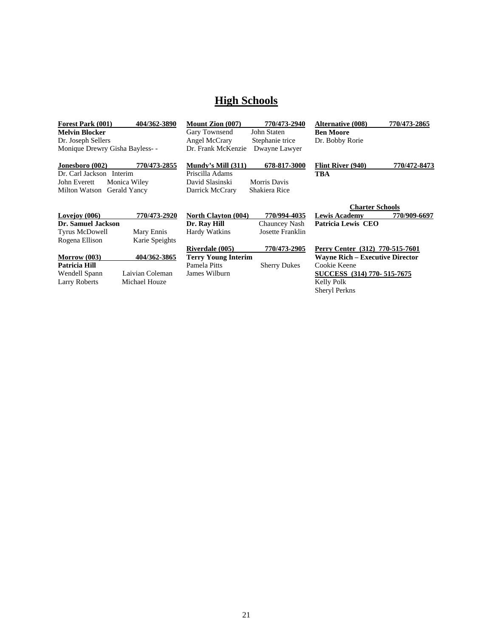## **High Schools**

| <b>Forest Park (001)</b>       | 404/362-3890    | <b>Mount Zion (007)</b>    | 770/473-2940        | <b>Alternative (008)</b>               | 770/473-2865 |
|--------------------------------|-----------------|----------------------------|---------------------|----------------------------------------|--------------|
| Melvin Blocker                 |                 | Gary Townsend              | John Staten         | <b>Ben Moore</b>                       |              |
| Dr. Joseph Sellers             |                 | Angel McCrary              | Stephanie trice     | Dr. Bobby Rorie                        |              |
| Monique Drewry Gisha Bayless-- |                 | Dr. Frank McKenzie         | Dwayne Lawyer       |                                        |              |
| <b>Jonesboro (002)</b>         | 770/473-2855    | Mundy's Mill $(311)$       | 678-817-3000        | Flint River (940)                      | 770/472-8473 |
| Dr. Carl Jackson Interim       |                 | Priscilla Adams            |                     | TBA                                    |              |
| John Everett                   | Monica Wiley    | David Slasinski            | Morris Davis        |                                        |              |
| Milton Watson                  | Gerald Yancy    | Darrick McCrary            | Shakiera Rice       |                                        |              |
|                                |                 |                            |                     | <b>Charter Schools</b>                 |              |
| Lovejoy (006)                  | 770/473-2920    | <b>North Clayton (004)</b> | 770/994-4035        | <b>Lewis Academy</b>                   | 770/909-6697 |
| Dr. Samuel Jackson             |                 | Dr. Ray Hill               | Chauncey Nash       | Patricia Lewis CEO                     |              |
| Tyrus McDowell                 | Mary Ennis      | Hardy Watkins              | Josette Franklin    |                                        |              |
| Rogena Ellison                 | Karie Speights  |                            |                     |                                        |              |
|                                |                 | Riverdale (005)            | 770/473-2905        | Perry Center (312) 770-515-7601        |              |
| <b>Morrow</b> (003)            | 404/362-3865    | <b>Terry Young Interim</b> |                     | <b>Wayne Rich – Executive Director</b> |              |
| Patricia Hill                  |                 | Pamela Pitts               | <b>Sherry Dukes</b> | Cookie Keene                           |              |
| Wendell Spann                  | Laivian Coleman | James Wilburn              |                     | SUCCESS (314) 770- 515-7675            |              |
| <b>Larry Roberts</b>           | Michael Houze   |                            |                     | Kelly Polk                             |              |
|                                |                 |                            |                     | <b>Sheryl Perkns</b>                   |              |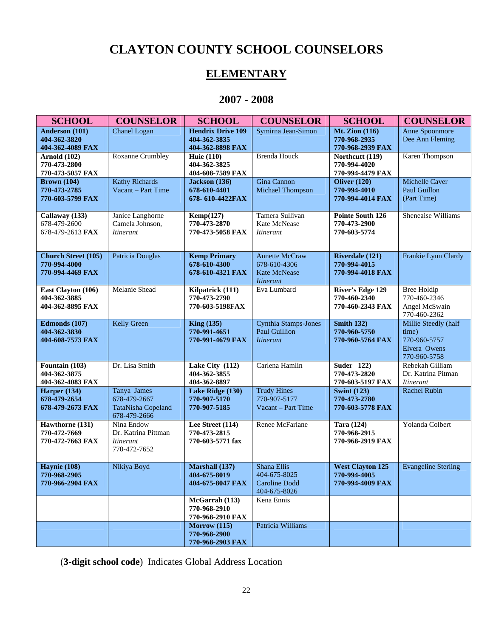## **CLAYTON COUNTY SCHOOL COUNSELORS**

## **ELEMENTARY**

## **2007 - 2008**

| <b>SCHOOL</b>                                                  | <b>COUNSELOR</b>                                                         | <b>SCHOOL</b>                                                | <b>COUNSELOR</b>                                                                 | <b>SCHOOL</b>                                               | <b>COUNSELOR</b>                                                              |
|----------------------------------------------------------------|--------------------------------------------------------------------------|--------------------------------------------------------------|----------------------------------------------------------------------------------|-------------------------------------------------------------|-------------------------------------------------------------------------------|
| Anderson (101)<br>404-362-3820<br>404-362-4089 FAX             | Chanel Logan                                                             | <b>Hendrix Drive 109</b><br>404-362-3835<br>404-362-8898 FAX | Symirna Jean-Simon                                                               | <b>Mt. Zion (116)</b><br>770-968-2935<br>770-968-2939 FAX   | Anne Spoonmore<br>Dee Ann Fleming                                             |
| <b>Arnold</b> (102)<br>770-473-2800<br>770-473-5057 FAX        | <b>Roxanne Crumbley</b>                                                  | <b>Huie</b> (110)<br>404-362-3825<br>404-608-7589 FAX        | <b>Brenda Houck</b>                                                              | Northcutt (119)<br>770-994-4020<br>770-994-4479 FAX         | Karen Thompson                                                                |
| <b>Brown</b> (104)<br>770-473-2785<br>770-603-5799 FAX         | <b>Kathy Richards</b><br>Vacant - Part Time                              | Jackson (136)<br>678-610-4401<br>678-610-4422FAX             | Gina Cannon<br>Michael Thompson                                                  | Oliver $(120)$<br>770-994-4010<br>770-994-4014 FAX          | Michelle Caver<br>Paul Guillon<br>(Part Time)                                 |
| Callaway (133)<br>678-479-2600<br>678-479-2613 FAX             | Janice Langhorne<br>Camela Johnson,<br><b>Itinerant</b>                  | Kemp(127)<br>770-473-2870<br>770-473-5058 FAX                | Tamera Sullivan<br>Kate McNease<br><i>Itinerant</i>                              | Pointe South 126<br>770-473-2900<br>770-603-5774            | Sheneaise Williams                                                            |
| <b>Church Street (105)</b><br>770-994-4000<br>770-994-4469 FAX | Patricia Douglas                                                         | <b>Kemp Primary</b><br>678-610-4300<br>678-610-4321 FAX      | <b>Annette McCraw</b><br>678-610-4306<br><b>Kate McNease</b><br><b>Itinerant</b> | Riverdale (121)<br>770-994-4015<br>770-994-4018 FAX         | Frankie Lynn Clardy                                                           |
| East Clayton (106)<br>404-362-3885<br>404-362-8895 FAX         | Melanie Shead                                                            | Kilpatrick (111)<br>770-473-2790<br>770-603-5198FAX          | Eva Lumbard                                                                      | River's Edge 129<br>770-460-2340<br>770-460-2343 FAX        | <b>Bree Holdip</b><br>770-460-2346<br>Angel McSwain<br>770-460-2362           |
| Edmonds (107)<br>404-362-3830<br>404-608-7573 FAX              | <b>Kelly Green</b>                                                       | <b>King (135)</b><br>770-991-4651<br>770-991-4679 FAX        | Cynthia Stamps-Jones<br><b>Paul Guillion</b><br><i>Itinerant</i>                 | <b>Smith 132)</b><br>770-960-5750<br>770-960-5764 FAX       | Millie Steedly (half<br>time)<br>770-960-5757<br>Elvera Owens<br>770-960-5758 |
| Fountain (103)<br>404-362-3875<br>404-362-4083 FAX             | Dr. Lisa Smith                                                           | Lake City (112)<br>404-362-3855<br>404-362-8897              | Carlena Hamlin                                                                   | <b>Suder 122)</b><br>770-473-2820<br>770-603-5197 FAX       | Rebekah Gilliam<br>Dr. Katrina Pitman<br><b>Itinerant</b>                     |
| Harper $(134)$<br>678-479-2654<br>678-479-2673 FAX             | Tanya James<br>678-479-2667<br><b>TataNisha Copeland</b><br>678-479-2666 | Lake Ridge (130)<br>770-907-5170<br>770-907-5185             | <b>Trudy Hines</b><br>770-907-5177<br>Vacant – Part Time                         | <b>Swint (123)</b><br>770-473-2780<br>770-603-5778 FAX      | <b>Rachel Rubin</b>                                                           |
| Hawthorne (131)<br>770-472-7669<br>770-472-7663 FAX            | Nina Endow<br>Dr. Katrina Pittman<br><i>Itinerant</i><br>770-472-7652    | Lee Street (114)<br>770-473-2815<br>770-603-5771 fax         | Renee McFarlane                                                                  | <b>Tara (124)</b><br>770-968-2915<br>770-968-2919 FAX       | Yolanda Colbert                                                               |
| Haynie (108)<br>770-968-2905<br>770-966-2904 FAX               | Nikiya Boyd                                                              | Marshall (137)<br>404-675-8019<br>404-675-8047 FAX           | Shana Ellis<br>404-675-8025<br><b>Caroline Dodd</b><br>404-675-8026              | <b>West Clayton 125</b><br>770-994-4005<br>770-994-4009 FAX | <b>Evangeline Sterling</b>                                                    |
|                                                                |                                                                          | McGarrah (113)<br>770-968-2910<br>770-968-2910 FAX           | Kena Ennis                                                                       |                                                             |                                                                               |
|                                                                |                                                                          | Morrow (115)<br>770-968-2900<br>770-968-2903 FAX             | Patricia Williams                                                                |                                                             |                                                                               |

(**3-digit school code**) Indicates Global Address Location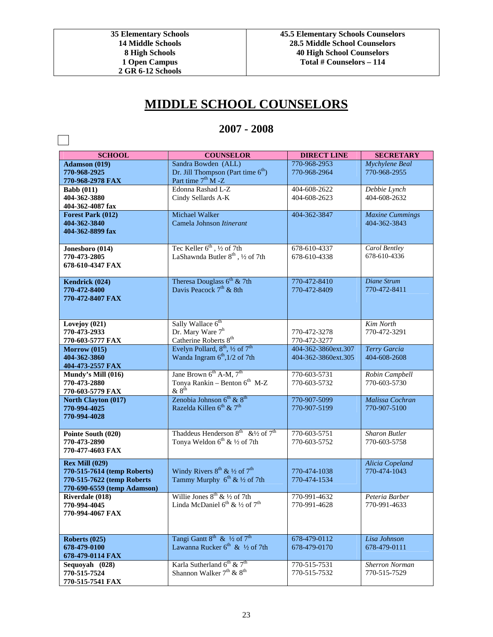$\sim$ 

## **MIDDLE SCHOOL COUNSELORS**

## **2007 - 2008**

| <b>SCHOOL</b>                | <b>COUNSELOR</b>                                         | <b>DIRECT LINE</b>  | <b>SECRETARY</b>       |
|------------------------------|----------------------------------------------------------|---------------------|------------------------|
| Adamson (019)                | Sandra Bowden (ALL)                                      | 770-968-2953        | Mychylene Beal         |
| 770-968-2925                 | Dr. Jill Thompson (Part time 6 <sup>th</sup> )           | 770-968-2964        | 770-968-2955           |
| 770-968-2978 FAX             | Part time 7 <sup>th</sup> M -Z                           |                     |                        |
| <b>Babb</b> (011)            | Edonna Rashad L-Z                                        | 404-608-2622        | Debbie Lynch           |
| 404-362-3880                 | Cindy Sellards A-K                                       | 404-608-2623        | 404-608-2632           |
| 404-362-4087 fax             |                                                          |                     |                        |
| Forest Park (012)            | Michael Walker                                           | 404-362-3847        | <b>Maxine Cummings</b> |
| 404-362-3840                 | Camela Johnson Itinerant                                 |                     | 404-362-3843           |
| 404-362-8899 fax             |                                                          |                     |                        |
| Jonesboro (014)              | Tec Keller 6 <sup>th</sup> , 1/2 of 7th                  | 678-610-4337        | Carol Bentley          |
| 770-473-2805                 | LaShawnda Butler 8 <sup>th</sup> , 1/2 of 7th            | 678-610-4338        | 678-610-4336           |
| 678-610-4347 FAX             |                                                          |                     |                        |
|                              |                                                          |                     |                        |
| Kendrick (024)               | Theresa Douglass 6 <sup>th</sup> & 7th                   | 770-472-8410        | Diane Strum            |
| 770-472-8400                 | Davis Peacock 7 <sup>th</sup> & 8th                      | 770-472-8409        | 770-472-8411           |
| 770-472-8407 FAX             |                                                          |                     |                        |
|                              |                                                          |                     |                        |
| Lovejoy (021)                | Sally Wallace 6 <sup>th</sup>                            |                     | Kim North              |
| 770-473-2933                 | Dr. Mary Ware 7 <sup>h</sup>                             | 770-472-3278        | 770-472-3291           |
| 770-603-5777 FAX             | Catherine Roberts 8 <sup>th</sup>                        | 770-472-3277        |                        |
| Morrow (015)                 | Evelyn Pollard, 8 <sup>th</sup> , 1/2 of 7 <sup>th</sup> | 404-362-3860ext.307 | Terry Garcia           |
| 404-362-3860                 | Wanda Ingram 6 <sup>th</sup> , 1/2 of 7th                | 404-362-3860ext.305 | 404-608-2608           |
| 404-473-2557 FAX             |                                                          |                     |                        |
| Mundy's Mill (016)           | Jane Brown $6^{th}$ A-M, $7^{th}$                        | 770-603-5731        | Robin Campbell         |
| 770-473-2880                 | Tonya Rankin - Benton 6 <sup>th</sup> M-Z                | 770-603-5732        | 770-603-5730           |
| 770-603-5779 FAX             | $&8^{\text{th}}$                                         |                     |                        |
| North Clayton (017)          | Zenobia Johnson 6 <sup>th</sup> & 8 <sup>th</sup>        | 770-907-5099        | Malissa Cochran        |
| 770-994-4025<br>770-994-4028 | Razelda Killen 6 <sup>th</sup> & 7 <sup>th</sup>         | 770-907-5199        | 770-907-5100           |
|                              |                                                          |                     |                        |
| Pointe South (020)           | Thaddeus Henderson $8^{th}$ & 1/2 of $7^{th}$            | 770-603-5751        | <b>Sharon Butler</b>   |
| 770-473-2890                 | Tonya Weldon 6 <sup>th</sup> & 1/2 of 7th                | 770-603-5752        | 770-603-5758           |
| 770-477-4603 FAX             |                                                          |                     |                        |
| <b>Rex Mill (029)</b>        |                                                          |                     | Alicia Copeland        |
| 770-515-7614 (temp Roberts)  | Windy Rivers $8^{th}$ & 1/2 of $7^{th}$                  | 770-474-1038        | 770-474-1043           |
| 770-515-7622 (temp Roberts   | Tammy Murphy 6 <sup>th</sup> & 1/2 of 7th                | 770-474-1534        |                        |
| 770-690-6559 (temp Adamson)  |                                                          |                     |                        |
| Riverdale (018)              | Willie Jones $8^{th}$ & 1/2 of 7th                       | 770-991-4632        | Peteria Barber         |
| 770-994-4045                 | Linda McDaniel $6^{th}$ & $\frac{1}{2}$ of $7^{th}$      | 770-991-4628        | 770-991-4633           |
| 770-994-4067 FAX             |                                                          |                     |                        |
|                              |                                                          |                     |                        |
| Roberts (025)                | Tangi Gantt 8 <sup>th</sup> & ½ of 7 <sup>th</sup>       | 678-479-0112        | Lisa Johnson           |
| 678-479-0100                 | Lawanna Rucker $6^{th}$ & $\frac{1}{2}$ of 7th           | 678-479-0170        | 678-479-0111           |
| 678-479-0114 FAX             |                                                          |                     |                        |
| Sequoyah (028)               | Karla Sutherland 6 <sup>th</sup> & 7 <sup>th</sup>       | 770-515-7531        | <b>Sherron Norman</b>  |
| 770-515-7524                 | Shannon Walker $7^{\text{th}}$ & $8^{\text{th}}$         | 770-515-7532        | 770-515-7529           |
| 770-515-7541 FAX             |                                                          |                     |                        |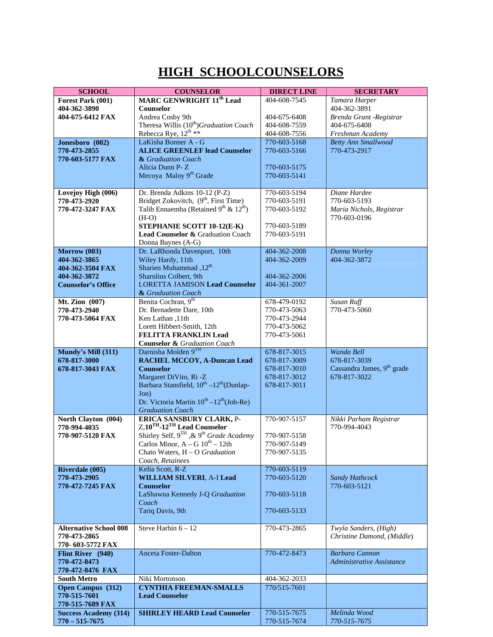## **HIGH SCHOOLCOUNSELORS**

| 404-608-7545<br>Tamara Harper<br>Forest Park (001)<br>404-362-3891<br>404-362-3890<br><b>Counselor</b><br>Andrea Cosby 9th<br>Brenda Grant -Registrar<br>404-675-6412 FAX<br>404-675-6408<br>Theresa Willis (10 <sup>th</sup> )Graduation Coach<br>404-675-6408<br>404-608-7559<br>Rebecca Rye, 12 <sup>th</sup> **<br>404-608-7556<br>Freshman Academy<br>Jonesboro (002)<br>LaKisha Bonner A - G<br>770-603-5168<br><b>Betty Ann Smallwood</b><br>770-473-2917<br>770-473-2855<br><b>ALICE GREENLEF lead Counselor</b><br>770-603-5166<br>770-603-5177 FAX<br>& Graduation Coach<br>Alicia Dunn P-Z<br>770-603-5175<br>Mecoya Maloy 9 <sup>th</sup> Grade<br>770-603-5141<br>Dr. Brenda Adkins 10-12 (P-Z)<br>770-603-5194<br>Diane Hardee<br>Lovejoy High (006)<br>Bridget Zokovitch, $(9^{th},$ First Time)<br>Talib Ennaemba (Retained $9^{th}$ & $12^{th}$ )<br>770-603-5191<br>770-603-5193<br>770-473-2920<br>770-472-3247 FAX<br>770-603-5192<br>Maria Nichols, Registrar<br>770-603-0196<br>$(H-O)$<br>STEPHANIE SCOTT 10-12(E-K)<br>770-603-5189<br>Lead Counselor & Graduation Coach<br>770-603-5191<br>Donna Baynes (A-G)<br>Dr. LaRhonda Davenport, 10th<br>404-362-2008<br>Donna Worley<br>Morrow (003)<br>Wiley Hardy, 11th<br>404-362-3872<br>404-362-3865<br>404-362-2009<br>Sharien Muhammad, 12 <sup>th</sup><br>404-362-3504 FAX<br>Sharnlius Colbert, 9th<br>404-362-3872<br>404-362-2006<br><b>Counselor's Office</b><br><b>LORETTA JAMISON Lead Counselor</b><br>404-361-2007<br>& Graduation Coach<br>Benita Cochran, 9 <sup>th</sup><br><b>Susan Ruff</b><br>Mt. Zion (007)<br>678-479-0192<br>770-473-5060<br>770-473-2940<br>Dr. Bernadette Dare, 10th<br>770-473-5063<br>770-473-5064 FAX<br>Ken Lathan, 11th<br>770-473-2944<br>Lorett Hibbert-Smith, 12th<br>770-473-5062<br><b>FELITTA FRANKLIN Lead</b><br>770-473-5061<br><b>Counselor &amp; Graduation Coach</b><br>Darnisha Molden 9TH<br>Mundy's Mill (311)<br>678-817-3015<br>Wanda Bell<br>678-817-3000<br><b>RACHEL MCCOY, A-Duncan Lead</b><br>678-817-3009<br>678-817-3039<br>Cassandra James, 9th grade<br><b>Counselor</b><br>678-817-3010<br>678-817-3043 FAX<br>Margaret DiVito, Ri -Z<br>678-817-3022<br>678-817-3012<br>Barbara Stansfield, 10 <sup>th</sup> -12 <sup>th</sup> (Dunlap-<br>678-817-3011<br>Jon)<br>Dr. Victoria Martin $10^{th} - 12^{th}$ (Joh-Re)<br><b>Graduation Coach</b><br><b>ERICA SANSBURY CLARK, P-</b><br>770-907-5157<br>North Clayton (004)<br>Nikki Parham Registrar<br>$Z$ , $10^{TH}$ - $12^{TH}$ Lead Counselor<br>770-994-4035<br>770-994-4043<br>Shirley Self, 9TH ,& 9 <sup>th</sup> Grade Academy<br>770-907-5120 FAX<br>770-907-5158<br>Carlos Minor, $A - G$ $10^{th} - 12th$<br>770-907-5149<br>770-907-5135<br>Chato Waters, $H - O$ Graduation<br>Coach, Retainees<br>770-603-5119<br><b>Riverdale (005)</b><br>Kelia Scott, R-Z<br>770-473-2905<br><b>WILLIAM SILVERI, A-I Lead</b><br>770-603-5120<br>Sandy Hathcock<br>770-472-7245 FAX<br>770-603-5121<br><b>Counselor</b><br>LaShawna Kennedy J-Q Graduation<br>770-603-5118<br>Coach<br>Tariq Davis, 9th<br>770-603-5133<br>Steve Harbin $6 - 12$<br><b>Alternative School 008</b><br>Twyla Sanders, (High)<br>770-473-2865<br>Christine Damond, (Middle)<br>770-473-2865<br>770-603-5772 FAX<br><b>Barbara Cannon</b><br><b>Anceta Foster-Dalton</b><br>770-472-8473<br>Flint River (940)<br>770-472-8473<br>Administrative Assistance<br>770-472-8476 FAX<br><b>South Metro</b><br>Niki Mortonson<br>404-362-2033<br>Open Campus (312)<br><b>CYNTHIA FREEMAN-SMALLS</b><br>770/515-7601<br>770-515-7601<br><b>Lead Counselor</b><br>770-515-7689 FAX<br><b>SHIRLEY HEARD Lead Counselor</b><br>770-515-7675<br><b>Success Academy (314)</b><br>Melinda Wood<br>$770 - 515 - 7675$<br>770-515-7675 | <b>SCHOOL</b> | <b>COUNSELOR</b>                           | <b>DIRECT LINE</b> | <b>SECRETARY</b> |
|-----------------------------------------------------------------------------------------------------------------------------------------------------------------------------------------------------------------------------------------------------------------------------------------------------------------------------------------------------------------------------------------------------------------------------------------------------------------------------------------------------------------------------------------------------------------------------------------------------------------------------------------------------------------------------------------------------------------------------------------------------------------------------------------------------------------------------------------------------------------------------------------------------------------------------------------------------------------------------------------------------------------------------------------------------------------------------------------------------------------------------------------------------------------------------------------------------------------------------------------------------------------------------------------------------------------------------------------------------------------------------------------------------------------------------------------------------------------------------------------------------------------------------------------------------------------------------------------------------------------------------------------------------------------------------------------------------------------------------------------------------------------------------------------------------------------------------------------------------------------------------------------------------------------------------------------------------------------------------------------------------------------------------------------------------------------------------------------------------------------------------------------------------------------------------------------------------------------------------------------------------------------------------------------------------------------------------------------------------------------------------------------------------------------------------------------------------------------------------------------------------------------------------------------------------------------------------------------------------------------------------------------------------------------------------------------------------------------------------------------------------------------------------------------------------------------------------------------------------------------------------------------------------------------------------------------------------------------------------------------------------------------------------------------------------------------------------------------------------------------------------------------------------------------------------------------------------------------------------------------------------------------------------------------------------------------------------------------------------------------------------------------------------------------------------------------------------------------------------------------------------------------------------------------------------------------------------------------------------------------------------------------------------------------------------------------------------------------------------------------------------------------------------------------------------|---------------|--------------------------------------------|--------------------|------------------|
|                                                                                                                                                                                                                                                                                                                                                                                                                                                                                                                                                                                                                                                                                                                                                                                                                                                                                                                                                                                                                                                                                                                                                                                                                                                                                                                                                                                                                                                                                                                                                                                                                                                                                                                                                                                                                                                                                                                                                                                                                                                                                                                                                                                                                                                                                                                                                                                                                                                                                                                                                                                                                                                                                                                                                                                                                                                                                                                                                                                                                                                                                                                                                                                                                                                                                                                                                                                                                                                                                                                                                                                                                                                                                                                                                                                                     |               | <b>MARC GENWRIGHT 11<sup>th</sup> Lead</b> |                    |                  |
|                                                                                                                                                                                                                                                                                                                                                                                                                                                                                                                                                                                                                                                                                                                                                                                                                                                                                                                                                                                                                                                                                                                                                                                                                                                                                                                                                                                                                                                                                                                                                                                                                                                                                                                                                                                                                                                                                                                                                                                                                                                                                                                                                                                                                                                                                                                                                                                                                                                                                                                                                                                                                                                                                                                                                                                                                                                                                                                                                                                                                                                                                                                                                                                                                                                                                                                                                                                                                                                                                                                                                                                                                                                                                                                                                                                                     |               |                                            |                    |                  |
|                                                                                                                                                                                                                                                                                                                                                                                                                                                                                                                                                                                                                                                                                                                                                                                                                                                                                                                                                                                                                                                                                                                                                                                                                                                                                                                                                                                                                                                                                                                                                                                                                                                                                                                                                                                                                                                                                                                                                                                                                                                                                                                                                                                                                                                                                                                                                                                                                                                                                                                                                                                                                                                                                                                                                                                                                                                                                                                                                                                                                                                                                                                                                                                                                                                                                                                                                                                                                                                                                                                                                                                                                                                                                                                                                                                                     |               |                                            |                    |                  |
|                                                                                                                                                                                                                                                                                                                                                                                                                                                                                                                                                                                                                                                                                                                                                                                                                                                                                                                                                                                                                                                                                                                                                                                                                                                                                                                                                                                                                                                                                                                                                                                                                                                                                                                                                                                                                                                                                                                                                                                                                                                                                                                                                                                                                                                                                                                                                                                                                                                                                                                                                                                                                                                                                                                                                                                                                                                                                                                                                                                                                                                                                                                                                                                                                                                                                                                                                                                                                                                                                                                                                                                                                                                                                                                                                                                                     |               |                                            |                    |                  |
|                                                                                                                                                                                                                                                                                                                                                                                                                                                                                                                                                                                                                                                                                                                                                                                                                                                                                                                                                                                                                                                                                                                                                                                                                                                                                                                                                                                                                                                                                                                                                                                                                                                                                                                                                                                                                                                                                                                                                                                                                                                                                                                                                                                                                                                                                                                                                                                                                                                                                                                                                                                                                                                                                                                                                                                                                                                                                                                                                                                                                                                                                                                                                                                                                                                                                                                                                                                                                                                                                                                                                                                                                                                                                                                                                                                                     |               |                                            |                    |                  |
|                                                                                                                                                                                                                                                                                                                                                                                                                                                                                                                                                                                                                                                                                                                                                                                                                                                                                                                                                                                                                                                                                                                                                                                                                                                                                                                                                                                                                                                                                                                                                                                                                                                                                                                                                                                                                                                                                                                                                                                                                                                                                                                                                                                                                                                                                                                                                                                                                                                                                                                                                                                                                                                                                                                                                                                                                                                                                                                                                                                                                                                                                                                                                                                                                                                                                                                                                                                                                                                                                                                                                                                                                                                                                                                                                                                                     |               |                                            |                    |                  |
|                                                                                                                                                                                                                                                                                                                                                                                                                                                                                                                                                                                                                                                                                                                                                                                                                                                                                                                                                                                                                                                                                                                                                                                                                                                                                                                                                                                                                                                                                                                                                                                                                                                                                                                                                                                                                                                                                                                                                                                                                                                                                                                                                                                                                                                                                                                                                                                                                                                                                                                                                                                                                                                                                                                                                                                                                                                                                                                                                                                                                                                                                                                                                                                                                                                                                                                                                                                                                                                                                                                                                                                                                                                                                                                                                                                                     |               |                                            |                    |                  |
|                                                                                                                                                                                                                                                                                                                                                                                                                                                                                                                                                                                                                                                                                                                                                                                                                                                                                                                                                                                                                                                                                                                                                                                                                                                                                                                                                                                                                                                                                                                                                                                                                                                                                                                                                                                                                                                                                                                                                                                                                                                                                                                                                                                                                                                                                                                                                                                                                                                                                                                                                                                                                                                                                                                                                                                                                                                                                                                                                                                                                                                                                                                                                                                                                                                                                                                                                                                                                                                                                                                                                                                                                                                                                                                                                                                                     |               |                                            |                    |                  |
|                                                                                                                                                                                                                                                                                                                                                                                                                                                                                                                                                                                                                                                                                                                                                                                                                                                                                                                                                                                                                                                                                                                                                                                                                                                                                                                                                                                                                                                                                                                                                                                                                                                                                                                                                                                                                                                                                                                                                                                                                                                                                                                                                                                                                                                                                                                                                                                                                                                                                                                                                                                                                                                                                                                                                                                                                                                                                                                                                                                                                                                                                                                                                                                                                                                                                                                                                                                                                                                                                                                                                                                                                                                                                                                                                                                                     |               |                                            |                    |                  |
|                                                                                                                                                                                                                                                                                                                                                                                                                                                                                                                                                                                                                                                                                                                                                                                                                                                                                                                                                                                                                                                                                                                                                                                                                                                                                                                                                                                                                                                                                                                                                                                                                                                                                                                                                                                                                                                                                                                                                                                                                                                                                                                                                                                                                                                                                                                                                                                                                                                                                                                                                                                                                                                                                                                                                                                                                                                                                                                                                                                                                                                                                                                                                                                                                                                                                                                                                                                                                                                                                                                                                                                                                                                                                                                                                                                                     |               |                                            |                    |                  |
|                                                                                                                                                                                                                                                                                                                                                                                                                                                                                                                                                                                                                                                                                                                                                                                                                                                                                                                                                                                                                                                                                                                                                                                                                                                                                                                                                                                                                                                                                                                                                                                                                                                                                                                                                                                                                                                                                                                                                                                                                                                                                                                                                                                                                                                                                                                                                                                                                                                                                                                                                                                                                                                                                                                                                                                                                                                                                                                                                                                                                                                                                                                                                                                                                                                                                                                                                                                                                                                                                                                                                                                                                                                                                                                                                                                                     |               |                                            |                    |                  |
|                                                                                                                                                                                                                                                                                                                                                                                                                                                                                                                                                                                                                                                                                                                                                                                                                                                                                                                                                                                                                                                                                                                                                                                                                                                                                                                                                                                                                                                                                                                                                                                                                                                                                                                                                                                                                                                                                                                                                                                                                                                                                                                                                                                                                                                                                                                                                                                                                                                                                                                                                                                                                                                                                                                                                                                                                                                                                                                                                                                                                                                                                                                                                                                                                                                                                                                                                                                                                                                                                                                                                                                                                                                                                                                                                                                                     |               |                                            |                    |                  |
|                                                                                                                                                                                                                                                                                                                                                                                                                                                                                                                                                                                                                                                                                                                                                                                                                                                                                                                                                                                                                                                                                                                                                                                                                                                                                                                                                                                                                                                                                                                                                                                                                                                                                                                                                                                                                                                                                                                                                                                                                                                                                                                                                                                                                                                                                                                                                                                                                                                                                                                                                                                                                                                                                                                                                                                                                                                                                                                                                                                                                                                                                                                                                                                                                                                                                                                                                                                                                                                                                                                                                                                                                                                                                                                                                                                                     |               |                                            |                    |                  |
|                                                                                                                                                                                                                                                                                                                                                                                                                                                                                                                                                                                                                                                                                                                                                                                                                                                                                                                                                                                                                                                                                                                                                                                                                                                                                                                                                                                                                                                                                                                                                                                                                                                                                                                                                                                                                                                                                                                                                                                                                                                                                                                                                                                                                                                                                                                                                                                                                                                                                                                                                                                                                                                                                                                                                                                                                                                                                                                                                                                                                                                                                                                                                                                                                                                                                                                                                                                                                                                                                                                                                                                                                                                                                                                                                                                                     |               |                                            |                    |                  |
|                                                                                                                                                                                                                                                                                                                                                                                                                                                                                                                                                                                                                                                                                                                                                                                                                                                                                                                                                                                                                                                                                                                                                                                                                                                                                                                                                                                                                                                                                                                                                                                                                                                                                                                                                                                                                                                                                                                                                                                                                                                                                                                                                                                                                                                                                                                                                                                                                                                                                                                                                                                                                                                                                                                                                                                                                                                                                                                                                                                                                                                                                                                                                                                                                                                                                                                                                                                                                                                                                                                                                                                                                                                                                                                                                                                                     |               |                                            |                    |                  |
|                                                                                                                                                                                                                                                                                                                                                                                                                                                                                                                                                                                                                                                                                                                                                                                                                                                                                                                                                                                                                                                                                                                                                                                                                                                                                                                                                                                                                                                                                                                                                                                                                                                                                                                                                                                                                                                                                                                                                                                                                                                                                                                                                                                                                                                                                                                                                                                                                                                                                                                                                                                                                                                                                                                                                                                                                                                                                                                                                                                                                                                                                                                                                                                                                                                                                                                                                                                                                                                                                                                                                                                                                                                                                                                                                                                                     |               |                                            |                    |                  |
|                                                                                                                                                                                                                                                                                                                                                                                                                                                                                                                                                                                                                                                                                                                                                                                                                                                                                                                                                                                                                                                                                                                                                                                                                                                                                                                                                                                                                                                                                                                                                                                                                                                                                                                                                                                                                                                                                                                                                                                                                                                                                                                                                                                                                                                                                                                                                                                                                                                                                                                                                                                                                                                                                                                                                                                                                                                                                                                                                                                                                                                                                                                                                                                                                                                                                                                                                                                                                                                                                                                                                                                                                                                                                                                                                                                                     |               |                                            |                    |                  |
|                                                                                                                                                                                                                                                                                                                                                                                                                                                                                                                                                                                                                                                                                                                                                                                                                                                                                                                                                                                                                                                                                                                                                                                                                                                                                                                                                                                                                                                                                                                                                                                                                                                                                                                                                                                                                                                                                                                                                                                                                                                                                                                                                                                                                                                                                                                                                                                                                                                                                                                                                                                                                                                                                                                                                                                                                                                                                                                                                                                                                                                                                                                                                                                                                                                                                                                                                                                                                                                                                                                                                                                                                                                                                                                                                                                                     |               |                                            |                    |                  |
|                                                                                                                                                                                                                                                                                                                                                                                                                                                                                                                                                                                                                                                                                                                                                                                                                                                                                                                                                                                                                                                                                                                                                                                                                                                                                                                                                                                                                                                                                                                                                                                                                                                                                                                                                                                                                                                                                                                                                                                                                                                                                                                                                                                                                                                                                                                                                                                                                                                                                                                                                                                                                                                                                                                                                                                                                                                                                                                                                                                                                                                                                                                                                                                                                                                                                                                                                                                                                                                                                                                                                                                                                                                                                                                                                                                                     |               |                                            |                    |                  |
|                                                                                                                                                                                                                                                                                                                                                                                                                                                                                                                                                                                                                                                                                                                                                                                                                                                                                                                                                                                                                                                                                                                                                                                                                                                                                                                                                                                                                                                                                                                                                                                                                                                                                                                                                                                                                                                                                                                                                                                                                                                                                                                                                                                                                                                                                                                                                                                                                                                                                                                                                                                                                                                                                                                                                                                                                                                                                                                                                                                                                                                                                                                                                                                                                                                                                                                                                                                                                                                                                                                                                                                                                                                                                                                                                                                                     |               |                                            |                    |                  |
|                                                                                                                                                                                                                                                                                                                                                                                                                                                                                                                                                                                                                                                                                                                                                                                                                                                                                                                                                                                                                                                                                                                                                                                                                                                                                                                                                                                                                                                                                                                                                                                                                                                                                                                                                                                                                                                                                                                                                                                                                                                                                                                                                                                                                                                                                                                                                                                                                                                                                                                                                                                                                                                                                                                                                                                                                                                                                                                                                                                                                                                                                                                                                                                                                                                                                                                                                                                                                                                                                                                                                                                                                                                                                                                                                                                                     |               |                                            |                    |                  |
|                                                                                                                                                                                                                                                                                                                                                                                                                                                                                                                                                                                                                                                                                                                                                                                                                                                                                                                                                                                                                                                                                                                                                                                                                                                                                                                                                                                                                                                                                                                                                                                                                                                                                                                                                                                                                                                                                                                                                                                                                                                                                                                                                                                                                                                                                                                                                                                                                                                                                                                                                                                                                                                                                                                                                                                                                                                                                                                                                                                                                                                                                                                                                                                                                                                                                                                                                                                                                                                                                                                                                                                                                                                                                                                                                                                                     |               |                                            |                    |                  |
|                                                                                                                                                                                                                                                                                                                                                                                                                                                                                                                                                                                                                                                                                                                                                                                                                                                                                                                                                                                                                                                                                                                                                                                                                                                                                                                                                                                                                                                                                                                                                                                                                                                                                                                                                                                                                                                                                                                                                                                                                                                                                                                                                                                                                                                                                                                                                                                                                                                                                                                                                                                                                                                                                                                                                                                                                                                                                                                                                                                                                                                                                                                                                                                                                                                                                                                                                                                                                                                                                                                                                                                                                                                                                                                                                                                                     |               |                                            |                    |                  |
|                                                                                                                                                                                                                                                                                                                                                                                                                                                                                                                                                                                                                                                                                                                                                                                                                                                                                                                                                                                                                                                                                                                                                                                                                                                                                                                                                                                                                                                                                                                                                                                                                                                                                                                                                                                                                                                                                                                                                                                                                                                                                                                                                                                                                                                                                                                                                                                                                                                                                                                                                                                                                                                                                                                                                                                                                                                                                                                                                                                                                                                                                                                                                                                                                                                                                                                                                                                                                                                                                                                                                                                                                                                                                                                                                                                                     |               |                                            |                    |                  |
|                                                                                                                                                                                                                                                                                                                                                                                                                                                                                                                                                                                                                                                                                                                                                                                                                                                                                                                                                                                                                                                                                                                                                                                                                                                                                                                                                                                                                                                                                                                                                                                                                                                                                                                                                                                                                                                                                                                                                                                                                                                                                                                                                                                                                                                                                                                                                                                                                                                                                                                                                                                                                                                                                                                                                                                                                                                                                                                                                                                                                                                                                                                                                                                                                                                                                                                                                                                                                                                                                                                                                                                                                                                                                                                                                                                                     |               |                                            |                    |                  |
|                                                                                                                                                                                                                                                                                                                                                                                                                                                                                                                                                                                                                                                                                                                                                                                                                                                                                                                                                                                                                                                                                                                                                                                                                                                                                                                                                                                                                                                                                                                                                                                                                                                                                                                                                                                                                                                                                                                                                                                                                                                                                                                                                                                                                                                                                                                                                                                                                                                                                                                                                                                                                                                                                                                                                                                                                                                                                                                                                                                                                                                                                                                                                                                                                                                                                                                                                                                                                                                                                                                                                                                                                                                                                                                                                                                                     |               |                                            |                    |                  |
|                                                                                                                                                                                                                                                                                                                                                                                                                                                                                                                                                                                                                                                                                                                                                                                                                                                                                                                                                                                                                                                                                                                                                                                                                                                                                                                                                                                                                                                                                                                                                                                                                                                                                                                                                                                                                                                                                                                                                                                                                                                                                                                                                                                                                                                                                                                                                                                                                                                                                                                                                                                                                                                                                                                                                                                                                                                                                                                                                                                                                                                                                                                                                                                                                                                                                                                                                                                                                                                                                                                                                                                                                                                                                                                                                                                                     |               |                                            |                    |                  |
|                                                                                                                                                                                                                                                                                                                                                                                                                                                                                                                                                                                                                                                                                                                                                                                                                                                                                                                                                                                                                                                                                                                                                                                                                                                                                                                                                                                                                                                                                                                                                                                                                                                                                                                                                                                                                                                                                                                                                                                                                                                                                                                                                                                                                                                                                                                                                                                                                                                                                                                                                                                                                                                                                                                                                                                                                                                                                                                                                                                                                                                                                                                                                                                                                                                                                                                                                                                                                                                                                                                                                                                                                                                                                                                                                                                                     |               |                                            |                    |                  |
|                                                                                                                                                                                                                                                                                                                                                                                                                                                                                                                                                                                                                                                                                                                                                                                                                                                                                                                                                                                                                                                                                                                                                                                                                                                                                                                                                                                                                                                                                                                                                                                                                                                                                                                                                                                                                                                                                                                                                                                                                                                                                                                                                                                                                                                                                                                                                                                                                                                                                                                                                                                                                                                                                                                                                                                                                                                                                                                                                                                                                                                                                                                                                                                                                                                                                                                                                                                                                                                                                                                                                                                                                                                                                                                                                                                                     |               |                                            |                    |                  |
|                                                                                                                                                                                                                                                                                                                                                                                                                                                                                                                                                                                                                                                                                                                                                                                                                                                                                                                                                                                                                                                                                                                                                                                                                                                                                                                                                                                                                                                                                                                                                                                                                                                                                                                                                                                                                                                                                                                                                                                                                                                                                                                                                                                                                                                                                                                                                                                                                                                                                                                                                                                                                                                                                                                                                                                                                                                                                                                                                                                                                                                                                                                                                                                                                                                                                                                                                                                                                                                                                                                                                                                                                                                                                                                                                                                                     |               |                                            |                    |                  |
|                                                                                                                                                                                                                                                                                                                                                                                                                                                                                                                                                                                                                                                                                                                                                                                                                                                                                                                                                                                                                                                                                                                                                                                                                                                                                                                                                                                                                                                                                                                                                                                                                                                                                                                                                                                                                                                                                                                                                                                                                                                                                                                                                                                                                                                                                                                                                                                                                                                                                                                                                                                                                                                                                                                                                                                                                                                                                                                                                                                                                                                                                                                                                                                                                                                                                                                                                                                                                                                                                                                                                                                                                                                                                                                                                                                                     |               |                                            |                    |                  |
|                                                                                                                                                                                                                                                                                                                                                                                                                                                                                                                                                                                                                                                                                                                                                                                                                                                                                                                                                                                                                                                                                                                                                                                                                                                                                                                                                                                                                                                                                                                                                                                                                                                                                                                                                                                                                                                                                                                                                                                                                                                                                                                                                                                                                                                                                                                                                                                                                                                                                                                                                                                                                                                                                                                                                                                                                                                                                                                                                                                                                                                                                                                                                                                                                                                                                                                                                                                                                                                                                                                                                                                                                                                                                                                                                                                                     |               |                                            |                    |                  |
|                                                                                                                                                                                                                                                                                                                                                                                                                                                                                                                                                                                                                                                                                                                                                                                                                                                                                                                                                                                                                                                                                                                                                                                                                                                                                                                                                                                                                                                                                                                                                                                                                                                                                                                                                                                                                                                                                                                                                                                                                                                                                                                                                                                                                                                                                                                                                                                                                                                                                                                                                                                                                                                                                                                                                                                                                                                                                                                                                                                                                                                                                                                                                                                                                                                                                                                                                                                                                                                                                                                                                                                                                                                                                                                                                                                                     |               |                                            |                    |                  |
|                                                                                                                                                                                                                                                                                                                                                                                                                                                                                                                                                                                                                                                                                                                                                                                                                                                                                                                                                                                                                                                                                                                                                                                                                                                                                                                                                                                                                                                                                                                                                                                                                                                                                                                                                                                                                                                                                                                                                                                                                                                                                                                                                                                                                                                                                                                                                                                                                                                                                                                                                                                                                                                                                                                                                                                                                                                                                                                                                                                                                                                                                                                                                                                                                                                                                                                                                                                                                                                                                                                                                                                                                                                                                                                                                                                                     |               |                                            |                    |                  |
|                                                                                                                                                                                                                                                                                                                                                                                                                                                                                                                                                                                                                                                                                                                                                                                                                                                                                                                                                                                                                                                                                                                                                                                                                                                                                                                                                                                                                                                                                                                                                                                                                                                                                                                                                                                                                                                                                                                                                                                                                                                                                                                                                                                                                                                                                                                                                                                                                                                                                                                                                                                                                                                                                                                                                                                                                                                                                                                                                                                                                                                                                                                                                                                                                                                                                                                                                                                                                                                                                                                                                                                                                                                                                                                                                                                                     |               |                                            |                    |                  |
|                                                                                                                                                                                                                                                                                                                                                                                                                                                                                                                                                                                                                                                                                                                                                                                                                                                                                                                                                                                                                                                                                                                                                                                                                                                                                                                                                                                                                                                                                                                                                                                                                                                                                                                                                                                                                                                                                                                                                                                                                                                                                                                                                                                                                                                                                                                                                                                                                                                                                                                                                                                                                                                                                                                                                                                                                                                                                                                                                                                                                                                                                                                                                                                                                                                                                                                                                                                                                                                                                                                                                                                                                                                                                                                                                                                                     |               |                                            |                    |                  |
|                                                                                                                                                                                                                                                                                                                                                                                                                                                                                                                                                                                                                                                                                                                                                                                                                                                                                                                                                                                                                                                                                                                                                                                                                                                                                                                                                                                                                                                                                                                                                                                                                                                                                                                                                                                                                                                                                                                                                                                                                                                                                                                                                                                                                                                                                                                                                                                                                                                                                                                                                                                                                                                                                                                                                                                                                                                                                                                                                                                                                                                                                                                                                                                                                                                                                                                                                                                                                                                                                                                                                                                                                                                                                                                                                                                                     |               |                                            |                    |                  |
|                                                                                                                                                                                                                                                                                                                                                                                                                                                                                                                                                                                                                                                                                                                                                                                                                                                                                                                                                                                                                                                                                                                                                                                                                                                                                                                                                                                                                                                                                                                                                                                                                                                                                                                                                                                                                                                                                                                                                                                                                                                                                                                                                                                                                                                                                                                                                                                                                                                                                                                                                                                                                                                                                                                                                                                                                                                                                                                                                                                                                                                                                                                                                                                                                                                                                                                                                                                                                                                                                                                                                                                                                                                                                                                                                                                                     |               |                                            |                    |                  |
|                                                                                                                                                                                                                                                                                                                                                                                                                                                                                                                                                                                                                                                                                                                                                                                                                                                                                                                                                                                                                                                                                                                                                                                                                                                                                                                                                                                                                                                                                                                                                                                                                                                                                                                                                                                                                                                                                                                                                                                                                                                                                                                                                                                                                                                                                                                                                                                                                                                                                                                                                                                                                                                                                                                                                                                                                                                                                                                                                                                                                                                                                                                                                                                                                                                                                                                                                                                                                                                                                                                                                                                                                                                                                                                                                                                                     |               |                                            |                    |                  |
|                                                                                                                                                                                                                                                                                                                                                                                                                                                                                                                                                                                                                                                                                                                                                                                                                                                                                                                                                                                                                                                                                                                                                                                                                                                                                                                                                                                                                                                                                                                                                                                                                                                                                                                                                                                                                                                                                                                                                                                                                                                                                                                                                                                                                                                                                                                                                                                                                                                                                                                                                                                                                                                                                                                                                                                                                                                                                                                                                                                                                                                                                                                                                                                                                                                                                                                                                                                                                                                                                                                                                                                                                                                                                                                                                                                                     |               |                                            |                    |                  |
|                                                                                                                                                                                                                                                                                                                                                                                                                                                                                                                                                                                                                                                                                                                                                                                                                                                                                                                                                                                                                                                                                                                                                                                                                                                                                                                                                                                                                                                                                                                                                                                                                                                                                                                                                                                                                                                                                                                                                                                                                                                                                                                                                                                                                                                                                                                                                                                                                                                                                                                                                                                                                                                                                                                                                                                                                                                                                                                                                                                                                                                                                                                                                                                                                                                                                                                                                                                                                                                                                                                                                                                                                                                                                                                                                                                                     |               |                                            |                    |                  |
|                                                                                                                                                                                                                                                                                                                                                                                                                                                                                                                                                                                                                                                                                                                                                                                                                                                                                                                                                                                                                                                                                                                                                                                                                                                                                                                                                                                                                                                                                                                                                                                                                                                                                                                                                                                                                                                                                                                                                                                                                                                                                                                                                                                                                                                                                                                                                                                                                                                                                                                                                                                                                                                                                                                                                                                                                                                                                                                                                                                                                                                                                                                                                                                                                                                                                                                                                                                                                                                                                                                                                                                                                                                                                                                                                                                                     |               |                                            |                    |                  |
|                                                                                                                                                                                                                                                                                                                                                                                                                                                                                                                                                                                                                                                                                                                                                                                                                                                                                                                                                                                                                                                                                                                                                                                                                                                                                                                                                                                                                                                                                                                                                                                                                                                                                                                                                                                                                                                                                                                                                                                                                                                                                                                                                                                                                                                                                                                                                                                                                                                                                                                                                                                                                                                                                                                                                                                                                                                                                                                                                                                                                                                                                                                                                                                                                                                                                                                                                                                                                                                                                                                                                                                                                                                                                                                                                                                                     |               |                                            |                    |                  |
|                                                                                                                                                                                                                                                                                                                                                                                                                                                                                                                                                                                                                                                                                                                                                                                                                                                                                                                                                                                                                                                                                                                                                                                                                                                                                                                                                                                                                                                                                                                                                                                                                                                                                                                                                                                                                                                                                                                                                                                                                                                                                                                                                                                                                                                                                                                                                                                                                                                                                                                                                                                                                                                                                                                                                                                                                                                                                                                                                                                                                                                                                                                                                                                                                                                                                                                                                                                                                                                                                                                                                                                                                                                                                                                                                                                                     |               |                                            |                    |                  |
|                                                                                                                                                                                                                                                                                                                                                                                                                                                                                                                                                                                                                                                                                                                                                                                                                                                                                                                                                                                                                                                                                                                                                                                                                                                                                                                                                                                                                                                                                                                                                                                                                                                                                                                                                                                                                                                                                                                                                                                                                                                                                                                                                                                                                                                                                                                                                                                                                                                                                                                                                                                                                                                                                                                                                                                                                                                                                                                                                                                                                                                                                                                                                                                                                                                                                                                                                                                                                                                                                                                                                                                                                                                                                                                                                                                                     |               |                                            |                    |                  |
|                                                                                                                                                                                                                                                                                                                                                                                                                                                                                                                                                                                                                                                                                                                                                                                                                                                                                                                                                                                                                                                                                                                                                                                                                                                                                                                                                                                                                                                                                                                                                                                                                                                                                                                                                                                                                                                                                                                                                                                                                                                                                                                                                                                                                                                                                                                                                                                                                                                                                                                                                                                                                                                                                                                                                                                                                                                                                                                                                                                                                                                                                                                                                                                                                                                                                                                                                                                                                                                                                                                                                                                                                                                                                                                                                                                                     |               |                                            |                    |                  |
|                                                                                                                                                                                                                                                                                                                                                                                                                                                                                                                                                                                                                                                                                                                                                                                                                                                                                                                                                                                                                                                                                                                                                                                                                                                                                                                                                                                                                                                                                                                                                                                                                                                                                                                                                                                                                                                                                                                                                                                                                                                                                                                                                                                                                                                                                                                                                                                                                                                                                                                                                                                                                                                                                                                                                                                                                                                                                                                                                                                                                                                                                                                                                                                                                                                                                                                                                                                                                                                                                                                                                                                                                                                                                                                                                                                                     |               |                                            |                    |                  |
|                                                                                                                                                                                                                                                                                                                                                                                                                                                                                                                                                                                                                                                                                                                                                                                                                                                                                                                                                                                                                                                                                                                                                                                                                                                                                                                                                                                                                                                                                                                                                                                                                                                                                                                                                                                                                                                                                                                                                                                                                                                                                                                                                                                                                                                                                                                                                                                                                                                                                                                                                                                                                                                                                                                                                                                                                                                                                                                                                                                                                                                                                                                                                                                                                                                                                                                                                                                                                                                                                                                                                                                                                                                                                                                                                                                                     |               |                                            |                    |                  |
|                                                                                                                                                                                                                                                                                                                                                                                                                                                                                                                                                                                                                                                                                                                                                                                                                                                                                                                                                                                                                                                                                                                                                                                                                                                                                                                                                                                                                                                                                                                                                                                                                                                                                                                                                                                                                                                                                                                                                                                                                                                                                                                                                                                                                                                                                                                                                                                                                                                                                                                                                                                                                                                                                                                                                                                                                                                                                                                                                                                                                                                                                                                                                                                                                                                                                                                                                                                                                                                                                                                                                                                                                                                                                                                                                                                                     |               |                                            |                    |                  |
|                                                                                                                                                                                                                                                                                                                                                                                                                                                                                                                                                                                                                                                                                                                                                                                                                                                                                                                                                                                                                                                                                                                                                                                                                                                                                                                                                                                                                                                                                                                                                                                                                                                                                                                                                                                                                                                                                                                                                                                                                                                                                                                                                                                                                                                                                                                                                                                                                                                                                                                                                                                                                                                                                                                                                                                                                                                                                                                                                                                                                                                                                                                                                                                                                                                                                                                                                                                                                                                                                                                                                                                                                                                                                                                                                                                                     |               |                                            |                    |                  |
|                                                                                                                                                                                                                                                                                                                                                                                                                                                                                                                                                                                                                                                                                                                                                                                                                                                                                                                                                                                                                                                                                                                                                                                                                                                                                                                                                                                                                                                                                                                                                                                                                                                                                                                                                                                                                                                                                                                                                                                                                                                                                                                                                                                                                                                                                                                                                                                                                                                                                                                                                                                                                                                                                                                                                                                                                                                                                                                                                                                                                                                                                                                                                                                                                                                                                                                                                                                                                                                                                                                                                                                                                                                                                                                                                                                                     |               |                                            |                    |                  |
|                                                                                                                                                                                                                                                                                                                                                                                                                                                                                                                                                                                                                                                                                                                                                                                                                                                                                                                                                                                                                                                                                                                                                                                                                                                                                                                                                                                                                                                                                                                                                                                                                                                                                                                                                                                                                                                                                                                                                                                                                                                                                                                                                                                                                                                                                                                                                                                                                                                                                                                                                                                                                                                                                                                                                                                                                                                                                                                                                                                                                                                                                                                                                                                                                                                                                                                                                                                                                                                                                                                                                                                                                                                                                                                                                                                                     |               |                                            |                    |                  |
|                                                                                                                                                                                                                                                                                                                                                                                                                                                                                                                                                                                                                                                                                                                                                                                                                                                                                                                                                                                                                                                                                                                                                                                                                                                                                                                                                                                                                                                                                                                                                                                                                                                                                                                                                                                                                                                                                                                                                                                                                                                                                                                                                                                                                                                                                                                                                                                                                                                                                                                                                                                                                                                                                                                                                                                                                                                                                                                                                                                                                                                                                                                                                                                                                                                                                                                                                                                                                                                                                                                                                                                                                                                                                                                                                                                                     |               |                                            |                    |                  |
|                                                                                                                                                                                                                                                                                                                                                                                                                                                                                                                                                                                                                                                                                                                                                                                                                                                                                                                                                                                                                                                                                                                                                                                                                                                                                                                                                                                                                                                                                                                                                                                                                                                                                                                                                                                                                                                                                                                                                                                                                                                                                                                                                                                                                                                                                                                                                                                                                                                                                                                                                                                                                                                                                                                                                                                                                                                                                                                                                                                                                                                                                                                                                                                                                                                                                                                                                                                                                                                                                                                                                                                                                                                                                                                                                                                                     |               |                                            |                    |                  |
|                                                                                                                                                                                                                                                                                                                                                                                                                                                                                                                                                                                                                                                                                                                                                                                                                                                                                                                                                                                                                                                                                                                                                                                                                                                                                                                                                                                                                                                                                                                                                                                                                                                                                                                                                                                                                                                                                                                                                                                                                                                                                                                                                                                                                                                                                                                                                                                                                                                                                                                                                                                                                                                                                                                                                                                                                                                                                                                                                                                                                                                                                                                                                                                                                                                                                                                                                                                                                                                                                                                                                                                                                                                                                                                                                                                                     |               |                                            |                    |                  |
|                                                                                                                                                                                                                                                                                                                                                                                                                                                                                                                                                                                                                                                                                                                                                                                                                                                                                                                                                                                                                                                                                                                                                                                                                                                                                                                                                                                                                                                                                                                                                                                                                                                                                                                                                                                                                                                                                                                                                                                                                                                                                                                                                                                                                                                                                                                                                                                                                                                                                                                                                                                                                                                                                                                                                                                                                                                                                                                                                                                                                                                                                                                                                                                                                                                                                                                                                                                                                                                                                                                                                                                                                                                                                                                                                                                                     |               |                                            |                    |                  |
|                                                                                                                                                                                                                                                                                                                                                                                                                                                                                                                                                                                                                                                                                                                                                                                                                                                                                                                                                                                                                                                                                                                                                                                                                                                                                                                                                                                                                                                                                                                                                                                                                                                                                                                                                                                                                                                                                                                                                                                                                                                                                                                                                                                                                                                                                                                                                                                                                                                                                                                                                                                                                                                                                                                                                                                                                                                                                                                                                                                                                                                                                                                                                                                                                                                                                                                                                                                                                                                                                                                                                                                                                                                                                                                                                                                                     |               |                                            |                    |                  |
|                                                                                                                                                                                                                                                                                                                                                                                                                                                                                                                                                                                                                                                                                                                                                                                                                                                                                                                                                                                                                                                                                                                                                                                                                                                                                                                                                                                                                                                                                                                                                                                                                                                                                                                                                                                                                                                                                                                                                                                                                                                                                                                                                                                                                                                                                                                                                                                                                                                                                                                                                                                                                                                                                                                                                                                                                                                                                                                                                                                                                                                                                                                                                                                                                                                                                                                                                                                                                                                                                                                                                                                                                                                                                                                                                                                                     |               |                                            | 770-515-7674       |                  |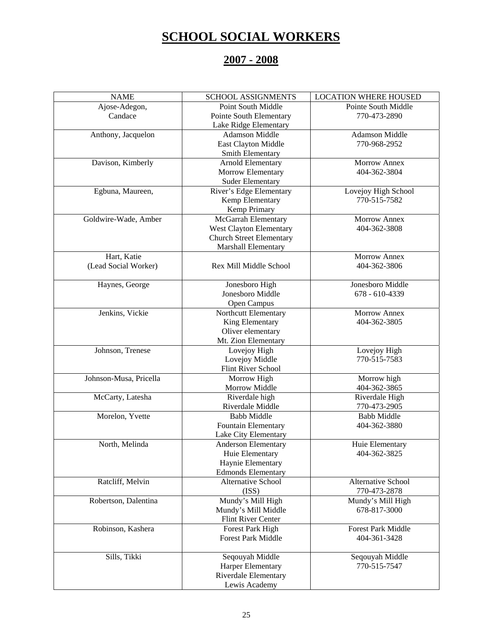## **SCHOOL SOCIAL WORKERS**

## **2007 - 2008**

| <b>NAME</b>            | <b>SCHOOL ASSIGNMENTS</b>       | <b>LOCATION WHERE HOUSED</b> |
|------------------------|---------------------------------|------------------------------|
| Ajose-Adegon,          | Point South Middle              | Pointe South Middle          |
| Candace                | Pointe South Elementary         | 770-473-2890                 |
|                        | Lake Ridge Elementary           |                              |
| Anthony, Jacquelon     | <b>Adamson Middle</b>           | <b>Adamson Middle</b>        |
|                        | East Clayton Middle             | 770-968-2952                 |
|                        | Smith Elementary                |                              |
| Davison, Kimberly      | Arnold Elementary               | <b>Morrow Annex</b>          |
|                        | Morrow Elementary               | 404-362-3804                 |
|                        | <b>Suder Elementary</b>         |                              |
| Egbuna, Maureen,       | River's Edge Elementary         | Lovejoy High School          |
|                        | Kemp Elementary                 | 770-515-7582                 |
|                        | Kemp Primary                    |                              |
| Goldwire-Wade, Amber   | McGarrah Elementary             | Morrow Annex                 |
|                        | West Clayton Elementary         | 404-362-3808                 |
|                        | <b>Church Street Elementary</b> |                              |
|                        | Marshall Elementary             |                              |
| Hart, Katie            |                                 | <b>Morrow Annex</b>          |
| (Lead Social Worker)   | Rex Mill Middle School          | 404-362-3806                 |
|                        |                                 |                              |
| Haynes, George         | Jonesboro High                  | Jonesboro Middle             |
|                        | Jonesboro Middle                | 678 - 610-4339               |
|                        | Open Campus                     |                              |
| Jenkins, Vickie        |                                 | <b>Morrow Annex</b>          |
|                        | Northcutt Elementary            |                              |
|                        | King Elementary                 | 404-362-3805                 |
|                        | Oliver elementary               |                              |
|                        | Mt. Zion Elementary             |                              |
| Johnson, Trenese       | Lovejoy High                    | Lovejoy High                 |
|                        | Lovejoy Middle                  | 770-515-7583                 |
|                        | Flint River School              |                              |
| Johnson-Musa, Pricella | Morrow High                     | Morrow high                  |
|                        | Morrow Middle                   | 404-362-3865                 |
| McCarty, Latesha       | Riverdale high                  | Riverdale High               |
|                        | Riverdale Middle                | 770-473-2905                 |
| Morelon, Yvette        | <b>Babb Middle</b>              | <b>Babb Middle</b>           |
|                        | Fountain Elementary             | 404-362-3880                 |
|                        | Lake City Elementary            |                              |
| North, Melinda         | <b>Anderson Elementary</b>      | Huie Elementary              |
|                        | Huie Elementary                 | 404-362-3825                 |
|                        | Haynie Elementary               |                              |
|                        | <b>Edmonds Elementary</b>       |                              |
| Ratcliff, Melvin       | <b>Alternative School</b>       | Alternative School           |
|                        | (ISS)                           | 770-473-2878                 |
| Robertson, Dalentina   | Mundy's Mill High               | Mundy's Mill High            |
|                        | Mundy's Mill Middle             | 678-817-3000                 |
|                        | Flint River Center              |                              |
| Robinson, Kashera      | Forest Park High                | Forest Park Middle           |
|                        | <b>Forest Park Middle</b>       | 404-361-3428                 |
|                        |                                 |                              |
| Sills, Tikki           | Seqouyah Middle                 | Seqouyah Middle              |
|                        | Harper Elementary               | 770-515-7547                 |
|                        | <b>Riverdale Elementary</b>     |                              |
|                        | Lewis Academy                   |                              |